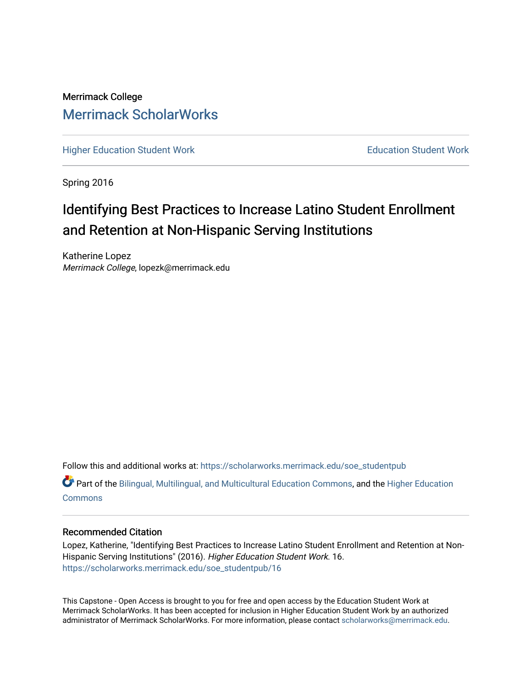Merrimack College [Merrimack ScholarWorks](https://scholarworks.merrimack.edu/) 

[Higher Education Student Work](https://scholarworks.merrimack.edu/soe_studentpub) **Education Student Work** Education Student Work

Spring 2016

# Identifying Best Practices to Increase Latino Student Enrollment and Retention at Non-Hispanic Serving Institutions

Katherine Lopez Merrimack College, lopezk@merrimack.edu

Follow this and additional works at: [https://scholarworks.merrimack.edu/soe\\_studentpub](https://scholarworks.merrimack.edu/soe_studentpub?utm_source=scholarworks.merrimack.edu%2Fsoe_studentpub%2F16&utm_medium=PDF&utm_campaign=PDFCoverPages) 

**C** Part of the [Bilingual, Multilingual, and Multicultural Education Commons,](http://network.bepress.com/hgg/discipline/785?utm_source=scholarworks.merrimack.edu%2Fsoe_studentpub%2F16&utm_medium=PDF&utm_campaign=PDFCoverPages) and the Higher Education **[Commons](http://network.bepress.com/hgg/discipline/1245?utm_source=scholarworks.merrimack.edu%2Fsoe_studentpub%2F16&utm_medium=PDF&utm_campaign=PDFCoverPages)** 

#### Recommended Citation

Lopez, Katherine, "Identifying Best Practices to Increase Latino Student Enrollment and Retention at Non-Hispanic Serving Institutions" (2016). Higher Education Student Work. 16. [https://scholarworks.merrimack.edu/soe\\_studentpub/16](https://scholarworks.merrimack.edu/soe_studentpub/16?utm_source=scholarworks.merrimack.edu%2Fsoe_studentpub%2F16&utm_medium=PDF&utm_campaign=PDFCoverPages) 

This Capstone - Open Access is brought to you for free and open access by the Education Student Work at Merrimack ScholarWorks. It has been accepted for inclusion in Higher Education Student Work by an authorized administrator of Merrimack ScholarWorks. For more information, please contact [scholarworks@merrimack.edu](mailto:scholarworks@merrimack.edu).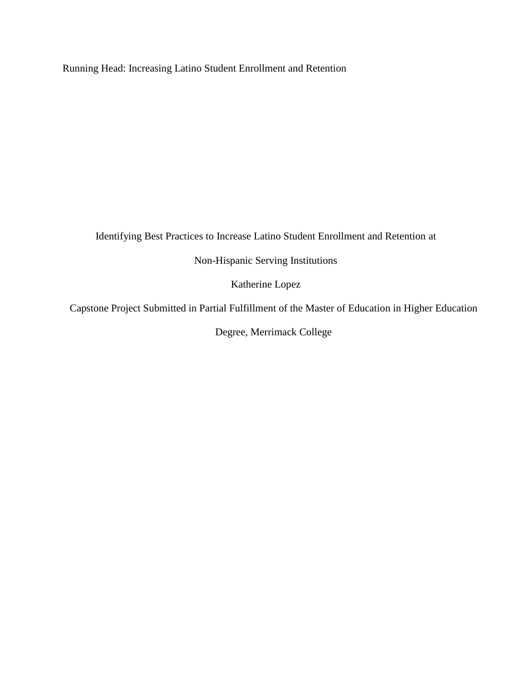Running Head: Increasing Latino Student Enrollment and Retention

Identifying Best Practices to Increase Latino Student Enrollment and Retention at

Non-Hispanic Serving Institutions

Katherine Lopez

Capstone Project Submitted in Partial Fulfillment of the Master of Education in Higher Education

Degree, Merrimack College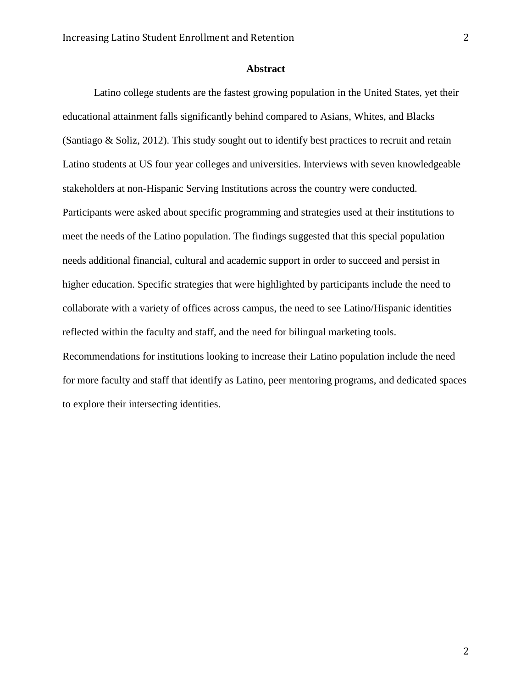### **Abstract**

Latino college students are the fastest growing population in the United States, yet their educational attainment falls significantly behind compared to Asians, Whites, and Blacks (Santiago & Soliz, 2012). This study sought out to identify best practices to recruit and retain Latino students at US four year colleges and universities. Interviews with seven knowledgeable stakeholders at non-Hispanic Serving Institutions across the country were conducted. Participants were asked about specific programming and strategies used at their institutions to meet the needs of the Latino population. The findings suggested that this special population needs additional financial, cultural and academic support in order to succeed and persist in higher education. Specific strategies that were highlighted by participants include the need to collaborate with a variety of offices across campus, the need to see Latino/Hispanic identities reflected within the faculty and staff, and the need for bilingual marketing tools. Recommendations for institutions looking to increase their Latino population include the need for more faculty and staff that identify as Latino, peer mentoring programs, and dedicated spaces to explore their intersecting identities.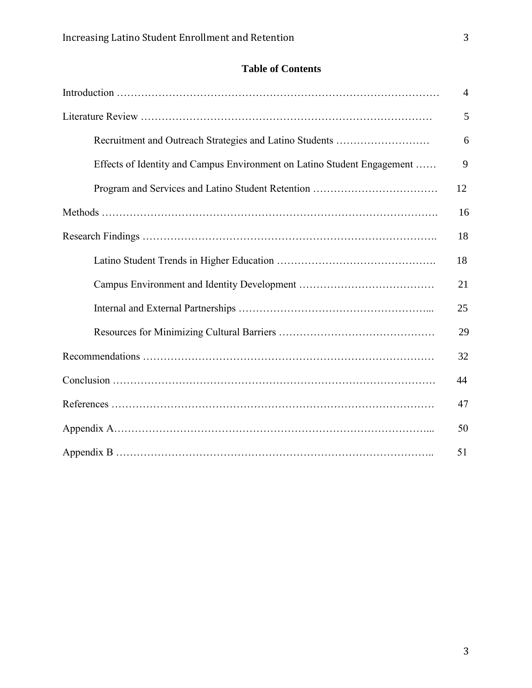# **Table of Contents**

|                                                                         | $\overline{4}$ |  |
|-------------------------------------------------------------------------|----------------|--|
|                                                                         | 5              |  |
| Recruitment and Outreach Strategies and Latino Students                 | 6              |  |
| Effects of Identity and Campus Environment on Latino Student Engagement | 9              |  |
|                                                                         | 12             |  |
|                                                                         | 16             |  |
|                                                                         | 18             |  |
|                                                                         | 18             |  |
|                                                                         | 21             |  |
|                                                                         | 25             |  |
|                                                                         | 29             |  |
|                                                                         | 32             |  |
|                                                                         | 44             |  |
|                                                                         | 47             |  |
|                                                                         |                |  |
|                                                                         |                |  |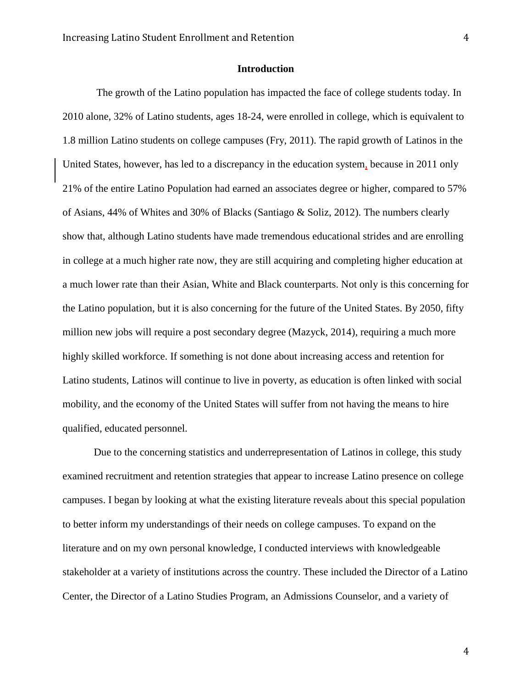### **Introduction**

The growth of the Latino population has impacted the face of college students today. In 2010 alone, 32% of Latino students, ages 18-24, were enrolled in college, which is equivalent to 1.8 million Latino students on college campuses (Fry, 2011). The rapid growth of Latinos in the United States, however, has led to a discrepancy in the education system, because in 2011 only 21% of the entire Latino Population had earned an associates degree or higher, compared to 57% of Asians, 44% of Whites and 30% of Blacks (Santiago & Soliz, 2012). The numbers clearly show that, although Latino students have made tremendous educational strides and are enrolling in college at a much higher rate now, they are still acquiring and completing higher education at a much lower rate than their Asian, White and Black counterparts. Not only is this concerning for the Latino population, but it is also concerning for the future of the United States. By 2050, fifty million new jobs will require a post secondary degree (Mazyck, 2014), requiring a much more highly skilled workforce. If something is not done about increasing access and retention for Latino students, Latinos will continue to live in poverty, as education is often linked with social mobility, and the economy of the United States will suffer from not having the means to hire qualified, educated personnel.

Due to the concerning statistics and underrepresentation of Latinos in college, this study examined recruitment and retention strategies that appear to increase Latino presence on college campuses. I began by looking at what the existing literature reveals about this special population to better inform my understandings of their needs on college campuses. To expand on the literature and on my own personal knowledge, I conducted interviews with knowledgeable stakeholder at a variety of institutions across the country. These included the Director of a Latino Center, the Director of a Latino Studies Program, an Admissions Counselor, and a variety of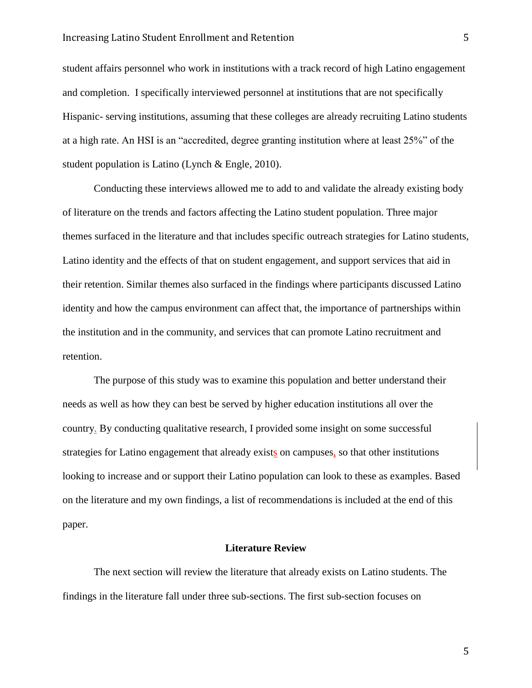student affairs personnel who work in institutions with a track record of high Latino engagement and completion. I specifically interviewed personnel at institutions that are not specifically Hispanic- serving institutions, assuming that these colleges are already recruiting Latino students at a high rate. An HSI is an "accredited, degree granting institution where at least 25%" of the student population is Latino (Lynch & Engle, 2010).

Conducting these interviews allowed me to add to and validate the already existing body of literature on the trends and factors affecting the Latino student population. Three major themes surfaced in the literature and that includes specific outreach strategies for Latino students, Latino identity and the effects of that on student engagement, and support services that aid in their retention. Similar themes also surfaced in the findings where participants discussed Latino identity and how the campus environment can affect that, the importance of partnerships within the institution and in the community, and services that can promote Latino recruitment and retention.

The purpose of this study was to examine this population and better understand their needs as well as how they can best be served by higher education institutions all over the country. By conducting qualitative research, I provided some insight on some successful strategies for Latino engagement that already exists on campuses, so that other institutions looking to increase and or support their Latino population can look to these as examples. Based on the literature and my own findings, a list of recommendations is included at the end of this paper.

#### **Literature Review**

The next section will review the literature that already exists on Latino students. The findings in the literature fall under three sub-sections. The first sub-section focuses on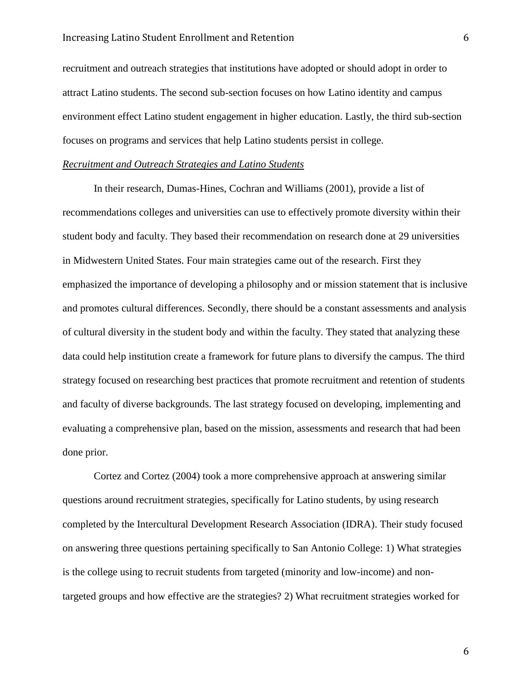#### Increasing Latino Student Enrollment and Retention 6

recruitment and outreach strategies that institutions have adopted or should adopt in order to attract Latino students. The second sub-section focuses on how Latino identity and campus environment effect Latino student engagement in higher education. Lastly, the third sub-section focuses on programs and services that help Latino students persist in college.

### *Recruitment and Outreach Strategies and Latino Students*

In their research, Dumas-Hines, Cochran and Williams (2001), provide a list of recommendations colleges and universities can use to effectively promote diversity within their student body and faculty. They based their recommendation on research done at 29 universities in Midwestern United States. Four main strategies came out of the research. First they emphasized the importance of developing a philosophy and or mission statement that is inclusive and promotes cultural differences. Secondly, there should be a constant assessments and analysis of cultural diversity in the student body and within the faculty. They stated that analyzing these data could help institution create a framework for future plans to diversify the campus. The third strategy focused on researching best practices that promote recruitment and retention of students and faculty of diverse backgrounds. The last strategy focused on developing, implementing and evaluating a comprehensive plan, based on the mission, assessments and research that had been done prior.

Cortez and Cortez (2004) took a more comprehensive approach at answering similar questions around recruitment strategies, specifically for Latino students, by using research completed by the Intercultural Development Research Association (IDRA). Their study focused on answering three questions pertaining specifically to San Antonio College: 1) What strategies is the college using to recruit students from targeted (minority and low-income) and nontargeted groups and how effective are the strategies? 2) What recruitment strategies worked for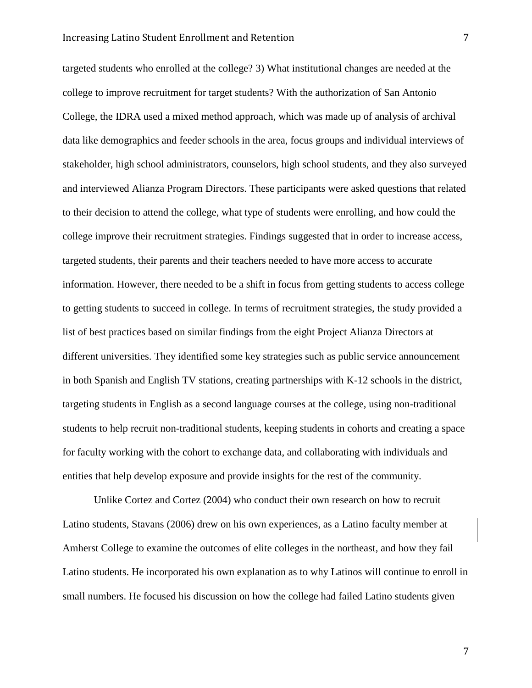#### Increasing Latino Student Enrollment and Retention 7

targeted students who enrolled at the college? 3) What institutional changes are needed at the college to improve recruitment for target students? With the authorization of San Antonio College, the IDRA used a mixed method approach, which was made up of analysis of archival data like demographics and feeder schools in the area, focus groups and individual interviews of stakeholder, high school administrators, counselors, high school students, and they also surveyed and interviewed Alianza Program Directors. These participants were asked questions that related to their decision to attend the college, what type of students were enrolling, and how could the college improve their recruitment strategies. Findings suggested that in order to increase access, targeted students, their parents and their teachers needed to have more access to accurate information. However, there needed to be a shift in focus from getting students to access college to getting students to succeed in college. In terms of recruitment strategies, the study provided a list of best practices based on similar findings from the eight Project Alianza Directors at different universities. They identified some key strategies such as public service announcement in both Spanish and English TV stations, creating partnerships with K-12 schools in the district, targeting students in English as a second language courses at the college, using non-traditional students to help recruit non-traditional students, keeping students in cohorts and creating a space for faculty working with the cohort to exchange data, and collaborating with individuals and entities that help develop exposure and provide insights for the rest of the community.

Unlike Cortez and Cortez (2004) who conduct their own research on how to recruit Latino students, Stavans (2006) drew on his own experiences, as a Latino faculty member at Amherst College to examine the outcomes of elite colleges in the northeast, and how they fail Latino students. He incorporated his own explanation as to why Latinos will continue to enroll in small numbers. He focused his discussion on how the college had failed Latino students given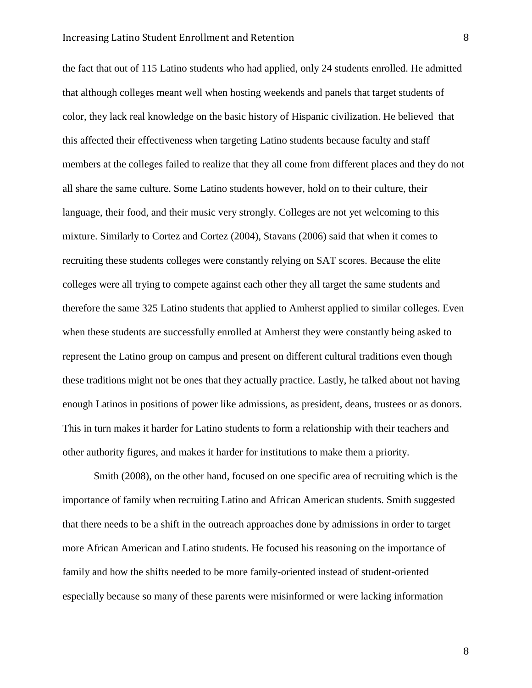the fact that out of 115 Latino students who had applied, only 24 students enrolled. He admitted that although colleges meant well when hosting weekends and panels that target students of color, they lack real knowledge on the basic history of Hispanic civilization. He believed that this affected their effectiveness when targeting Latino students because faculty and staff members at the colleges failed to realize that they all come from different places and they do not all share the same culture. Some Latino students however, hold on to their culture, their language, their food, and their music very strongly. Colleges are not yet welcoming to this mixture. Similarly to Cortez and Cortez (2004), Stavans (2006) said that when it comes to recruiting these students colleges were constantly relying on SAT scores. Because the elite colleges were all trying to compete against each other they all target the same students and therefore the same 325 Latino students that applied to Amherst applied to similar colleges. Even when these students are successfully enrolled at Amherst they were constantly being asked to represent the Latino group on campus and present on different cultural traditions even though these traditions might not be ones that they actually practice. Lastly, he talked about not having enough Latinos in positions of power like admissions, as president, deans, trustees or as donors. This in turn makes it harder for Latino students to form a relationship with their teachers and other authority figures, and makes it harder for institutions to make them a priority.

Smith (2008), on the other hand, focused on one specific area of recruiting which is the importance of family when recruiting Latino and African American students. Smith suggested that there needs to be a shift in the outreach approaches done by admissions in order to target more African American and Latino students. He focused his reasoning on the importance of family and how the shifts needed to be more family-oriented instead of student-oriented especially because so many of these parents were misinformed or were lacking information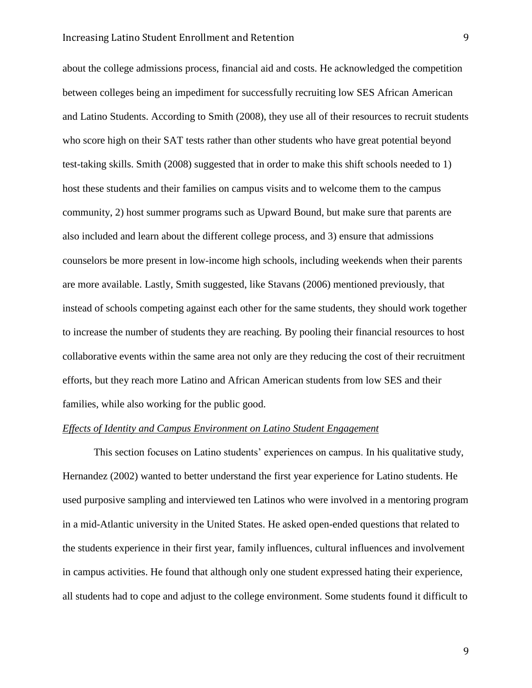about the college admissions process, financial aid and costs. He acknowledged the competition between colleges being an impediment for successfully recruiting low SES African American and Latino Students. According to Smith (2008), they use all of their resources to recruit students who score high on their SAT tests rather than other students who have great potential beyond test-taking skills. Smith (2008) suggested that in order to make this shift schools needed to 1) host these students and their families on campus visits and to welcome them to the campus community, 2) host summer programs such as Upward Bound, but make sure that parents are also included and learn about the different college process, and 3) ensure that admissions counselors be more present in low-income high schools, including weekends when their parents are more available. Lastly, Smith suggested, like Stavans (2006) mentioned previously, that instead of schools competing against each other for the same students, they should work together to increase the number of students they are reaching. By pooling their financial resources to host collaborative events within the same area not only are they reducing the cost of their recruitment efforts, but they reach more Latino and African American students from low SES and their families, while also working for the public good.

### *Effects of Identity and Campus Environment on Latino Student Engagement*

This section focuses on Latino students' experiences on campus. In his qualitative study, Hernandez (2002) wanted to better understand the first year experience for Latino students. He used purposive sampling and interviewed ten Latinos who were involved in a mentoring program in a mid-Atlantic university in the United States. He asked open-ended questions that related to the students experience in their first year, family influences, cultural influences and involvement in campus activities. He found that although only one student expressed hating their experience, all students had to cope and adjust to the college environment. Some students found it difficult to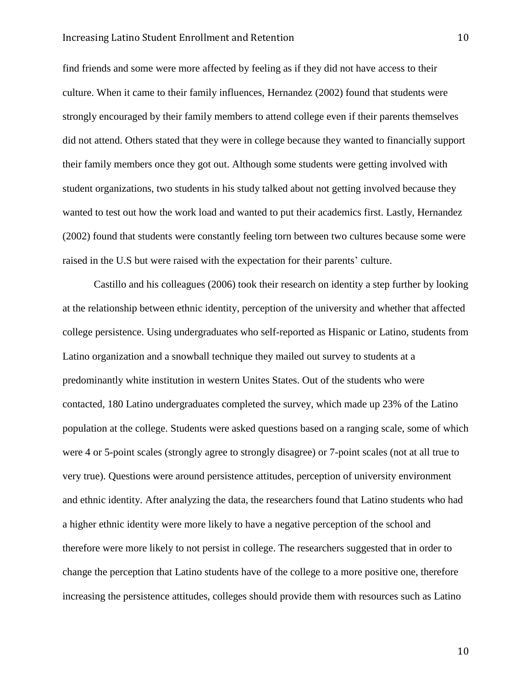#### Increasing Latino Student Enrollment and Retention 10

find friends and some were more affected by feeling as if they did not have access to their culture. When it came to their family influences, Hernandez (2002) found that students were strongly encouraged by their family members to attend college even if their parents themselves did not attend. Others stated that they were in college because they wanted to financially support their family members once they got out. Although some students were getting involved with student organizations, two students in his study talked about not getting involved because they wanted to test out how the work load and wanted to put their academics first. Lastly, Hernandez (2002) found that students were constantly feeling torn between two cultures because some were raised in the U.S but were raised with the expectation for their parents' culture.

Castillo and his colleagues (2006) took their research on identity a step further by looking at the relationship between ethnic identity, perception of the university and whether that affected college persistence. Using undergraduates who self-reported as Hispanic or Latino, students from Latino organization and a snowball technique they mailed out survey to students at a predominantly white institution in western Unites States. Out of the students who were contacted, 180 Latino undergraduates completed the survey, which made up 23% of the Latino population at the college. Students were asked questions based on a ranging scale, some of which were 4 or 5-point scales (strongly agree to strongly disagree) or 7-point scales (not at all true to very true). Questions were around persistence attitudes, perception of university environment and ethnic identity. After analyzing the data, the researchers found that Latino students who had a higher ethnic identity were more likely to have a negative perception of the school and therefore were more likely to not persist in college. The researchers suggested that in order to change the perception that Latino students have of the college to a more positive one, therefore increasing the persistence attitudes, colleges should provide them with resources such as Latino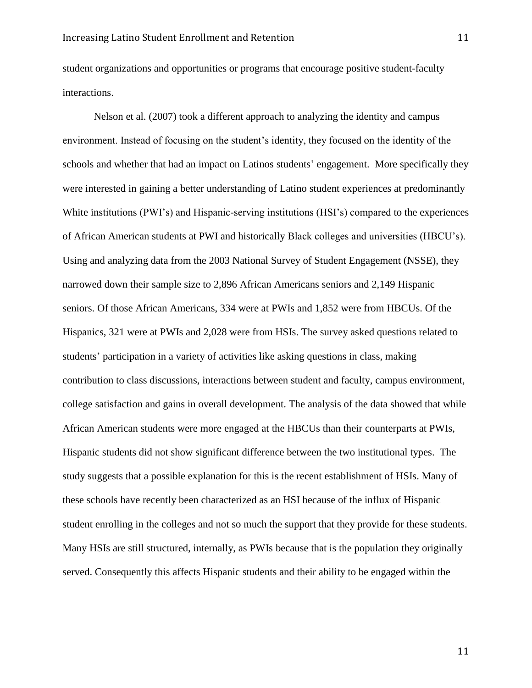student organizations and opportunities or programs that encourage positive student-faculty interactions.

Nelson et al. (2007) took a different approach to analyzing the identity and campus environment. Instead of focusing on the student's identity, they focused on the identity of the schools and whether that had an impact on Latinos students' engagement. More specifically they were interested in gaining a better understanding of Latino student experiences at predominantly White institutions (PWI's) and Hispanic-serving institutions (HSI's) compared to the experiences of African American students at PWI and historically Black colleges and universities (HBCU's). Using and analyzing data from the 2003 National Survey of Student Engagement (NSSE), they narrowed down their sample size to 2,896 African Americans seniors and 2,149 Hispanic seniors. Of those African Americans, 334 were at PWIs and 1,852 were from HBCUs. Of the Hispanics, 321 were at PWIs and 2,028 were from HSIs. The survey asked questions related to students' participation in a variety of activities like asking questions in class, making contribution to class discussions, interactions between student and faculty, campus environment, college satisfaction and gains in overall development. The analysis of the data showed that while African American students were more engaged at the HBCUs than their counterparts at PWIs, Hispanic students did not show significant difference between the two institutional types. The study suggests that a possible explanation for this is the recent establishment of HSIs. Many of these schools have recently been characterized as an HSI because of the influx of Hispanic student enrolling in the colleges and not so much the support that they provide for these students. Many HSIs are still structured, internally, as PWIs because that is the population they originally served. Consequently this affects Hispanic students and their ability to be engaged within the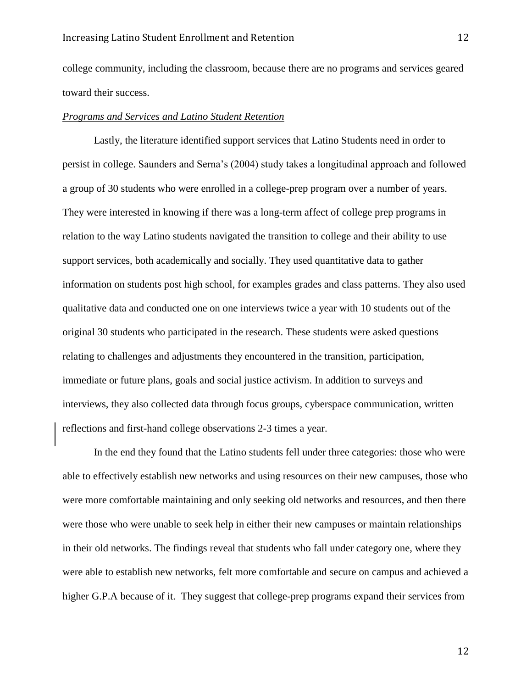college community, including the classroom, because there are no programs and services geared toward their success.

#### *Programs and Services and Latino Student Retention*

Lastly, the literature identified support services that Latino Students need in order to persist in college. Saunders and Serna's (2004) study takes a longitudinal approach and followed a group of 30 students who were enrolled in a college-prep program over a number of years. They were interested in knowing if there was a long-term affect of college prep programs in relation to the way Latino students navigated the transition to college and their ability to use support services, both academically and socially. They used quantitative data to gather information on students post high school, for examples grades and class patterns. They also used qualitative data and conducted one on one interviews twice a year with 10 students out of the original 30 students who participated in the research. These students were asked questions relating to challenges and adjustments they encountered in the transition, participation, immediate or future plans, goals and social justice activism. In addition to surveys and interviews, they also collected data through focus groups, cyberspace communication, written reflections and first-hand college observations 2-3 times a year.

In the end they found that the Latino students fell under three categories: those who were able to effectively establish new networks and using resources on their new campuses, those who were more comfortable maintaining and only seeking old networks and resources, and then there were those who were unable to seek help in either their new campuses or maintain relationships in their old networks. The findings reveal that students who fall under category one, where they were able to establish new networks, felt more comfortable and secure on campus and achieved a higher G.P.A because of it. They suggest that college-prep programs expand their services from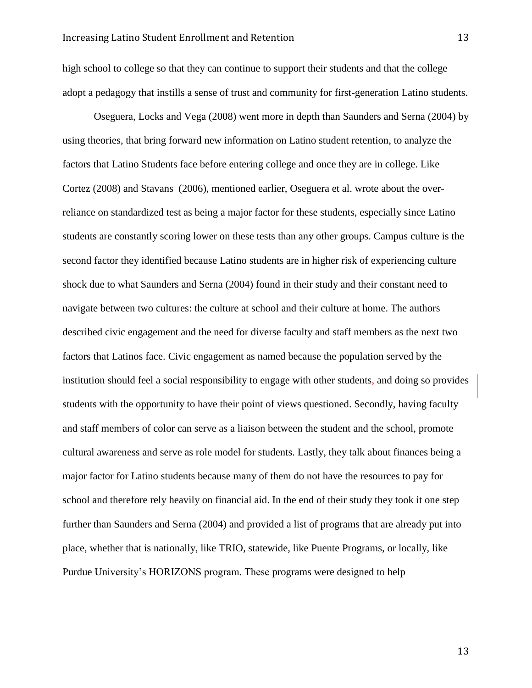high school to college so that they can continue to support their students and that the college adopt a pedagogy that instills a sense of trust and community for first-generation Latino students.

Oseguera, Locks and Vega (2008) went more in depth than Saunders and Serna (2004) by using theories, that bring forward new information on Latino student retention, to analyze the factors that Latino Students face before entering college and once they are in college. Like Cortez (2008) and Stavans (2006), mentioned earlier, Oseguera et al. wrote about the overreliance on standardized test as being a major factor for these students, especially since Latino students are constantly scoring lower on these tests than any other groups. Campus culture is the second factor they identified because Latino students are in higher risk of experiencing culture shock due to what Saunders and Serna (2004) found in their study and their constant need to navigate between two cultures: the culture at school and their culture at home. The authors described civic engagement and the need for diverse faculty and staff members as the next two factors that Latinos face. Civic engagement as named because the population served by the institution should feel a social responsibility to engage with other students, and doing so provides students with the opportunity to have their point of views questioned. Secondly, having faculty and staff members of color can serve as a liaison between the student and the school, promote cultural awareness and serve as role model for students. Lastly, they talk about finances being a major factor for Latino students because many of them do not have the resources to pay for school and therefore rely heavily on financial aid. In the end of their study they took it one step further than Saunders and Serna (2004) and provided a list of programs that are already put into place, whether that is nationally, like TRIO, statewide, like Puente Programs, or locally, like Purdue University's HORIZONS program. These programs were designed to help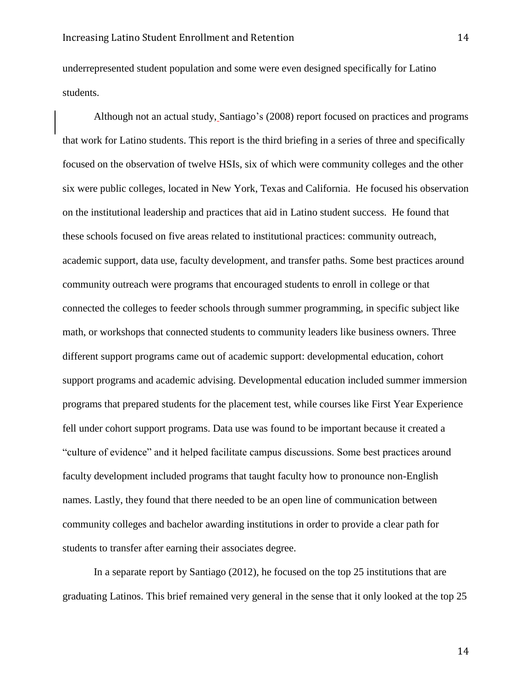underrepresented student population and some were even designed specifically for Latino students.

Although not an actual study, Santiago's (2008) report focused on practices and programs that work for Latino students. This report is the third briefing in a series of three and specifically focused on the observation of twelve HSIs, six of which were community colleges and the other six were public colleges, located in New York, Texas and California. He focused his observation on the institutional leadership and practices that aid in Latino student success. He found that these schools focused on five areas related to institutional practices: community outreach, academic support, data use, faculty development, and transfer paths. Some best practices around community outreach were programs that encouraged students to enroll in college or that connected the colleges to feeder schools through summer programming, in specific subject like math, or workshops that connected students to community leaders like business owners. Three different support programs came out of academic support: developmental education, cohort support programs and academic advising. Developmental education included summer immersion programs that prepared students for the placement test, while courses like First Year Experience fell under cohort support programs. Data use was found to be important because it created a "culture of evidence" and it helped facilitate campus discussions. Some best practices around faculty development included programs that taught faculty how to pronounce non-English names. Lastly, they found that there needed to be an open line of communication between community colleges and bachelor awarding institutions in order to provide a clear path for students to transfer after earning their associates degree.

In a separate report by Santiago (2012), he focused on the top 25 institutions that are graduating Latinos. This brief remained very general in the sense that it only looked at the top 25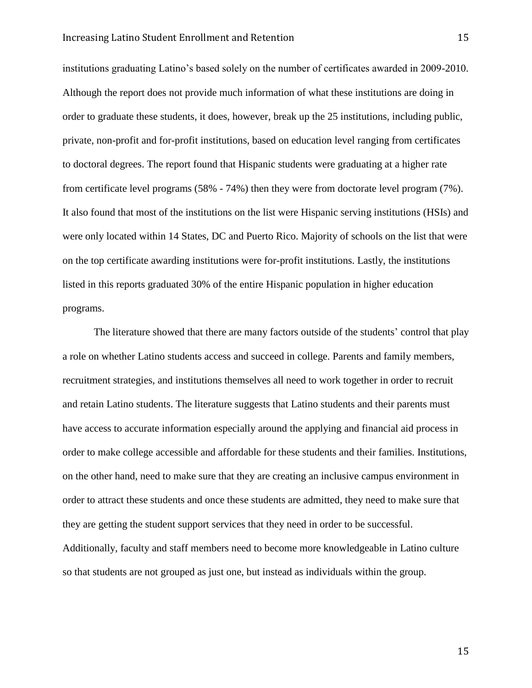institutions graduating Latino's based solely on the number of certificates awarded in 2009-2010. Although the report does not provide much information of what these institutions are doing in order to graduate these students, it does, however, break up the 25 institutions, including public, private, non-profit and for-profit institutions, based on education level ranging from certificates to doctoral degrees. The report found that Hispanic students were graduating at a higher rate from certificate level programs (58% - 74%) then they were from doctorate level program (7%). It also found that most of the institutions on the list were Hispanic serving institutions (HSIs) and were only located within 14 States, DC and Puerto Rico. Majority of schools on the list that were on the top certificate awarding institutions were for-profit institutions. Lastly, the institutions listed in this reports graduated 30% of the entire Hispanic population in higher education programs.

The literature showed that there are many factors outside of the students' control that play a role on whether Latino students access and succeed in college. Parents and family members, recruitment strategies, and institutions themselves all need to work together in order to recruit and retain Latino students. The literature suggests that Latino students and their parents must have access to accurate information especially around the applying and financial aid process in order to make college accessible and affordable for these students and their families. Institutions, on the other hand, need to make sure that they are creating an inclusive campus environment in order to attract these students and once these students are admitted, they need to make sure that they are getting the student support services that they need in order to be successful. Additionally, faculty and staff members need to become more knowledgeable in Latino culture so that students are not grouped as just one, but instead as individuals within the group.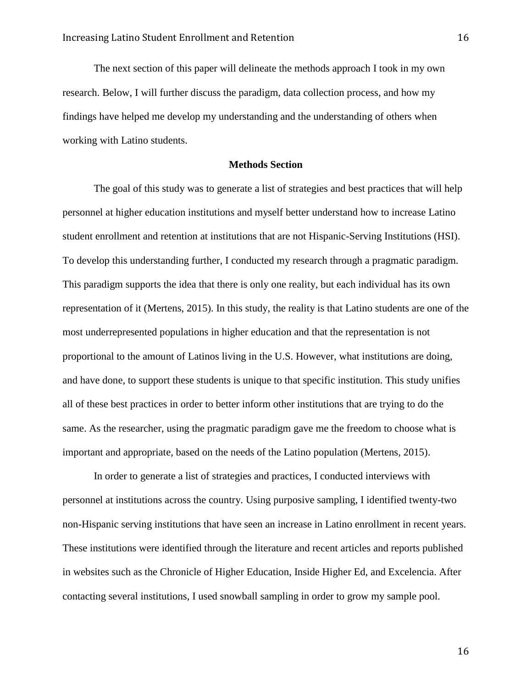The next section of this paper will delineate the methods approach I took in my own research. Below, I will further discuss the paradigm, data collection process, and how my findings have helped me develop my understanding and the understanding of others when working with Latino students.

#### **Methods Section**

The goal of this study was to generate a list of strategies and best practices that will help personnel at higher education institutions and myself better understand how to increase Latino student enrollment and retention at institutions that are not Hispanic-Serving Institutions (HSI). To develop this understanding further, I conducted my research through a pragmatic paradigm. This paradigm supports the idea that there is only one reality, but each individual has its own representation of it (Mertens, 2015). In this study, the reality is that Latino students are one of the most underrepresented populations in higher education and that the representation is not proportional to the amount of Latinos living in the U.S. However, what institutions are doing, and have done, to support these students is unique to that specific institution. This study unifies all of these best practices in order to better inform other institutions that are trying to do the same. As the researcher, using the pragmatic paradigm gave me the freedom to choose what is important and appropriate, based on the needs of the Latino population (Mertens, 2015).

In order to generate a list of strategies and practices, I conducted interviews with personnel at institutions across the country. Using purposive sampling, I identified twenty-two non-Hispanic serving institutions that have seen an increase in Latino enrollment in recent years. These institutions were identified through the literature and recent articles and reports published in websites such as the Chronicle of Higher Education, Inside Higher Ed, and Excelencia. After contacting several institutions, I used snowball sampling in order to grow my sample pool.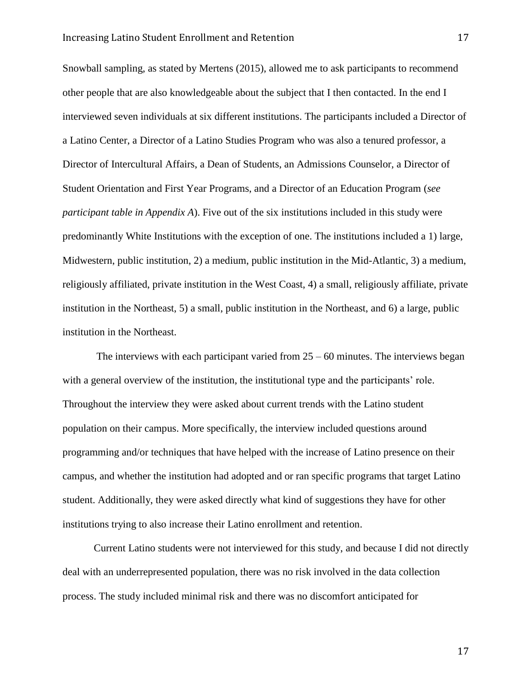Snowball sampling, as stated by Mertens (2015), allowed me to ask participants to recommend other people that are also knowledgeable about the subject that I then contacted. In the end I interviewed seven individuals at six different institutions. The participants included a Director of a Latino Center, a Director of a Latino Studies Program who was also a tenured professor, a Director of Intercultural Affairs, a Dean of Students, an Admissions Counselor, a Director of Student Orientation and First Year Programs, and a Director of an Education Program (*see participant table in Appendix A*). Five out of the six institutions included in this study were predominantly White Institutions with the exception of one. The institutions included a 1) large, Midwestern, public institution, 2) a medium, public institution in the Mid-Atlantic, 3) a medium, religiously affiliated, private institution in the West Coast, 4) a small, religiously affiliate, private institution in the Northeast, 5) a small, public institution in the Northeast, and 6) a large, public institution in the Northeast.

The interviews with each participant varied from  $25 - 60$  minutes. The interviews began with a general overview of the institution, the institutional type and the participants' role. Throughout the interview they were asked about current trends with the Latino student population on their campus. More specifically, the interview included questions around programming and/or techniques that have helped with the increase of Latino presence on their campus, and whether the institution had adopted and or ran specific programs that target Latino student. Additionally, they were asked directly what kind of suggestions they have for other institutions trying to also increase their Latino enrollment and retention.

Current Latino students were not interviewed for this study, and because I did not directly deal with an underrepresented population, there was no risk involved in the data collection process. The study included minimal risk and there was no discomfort anticipated for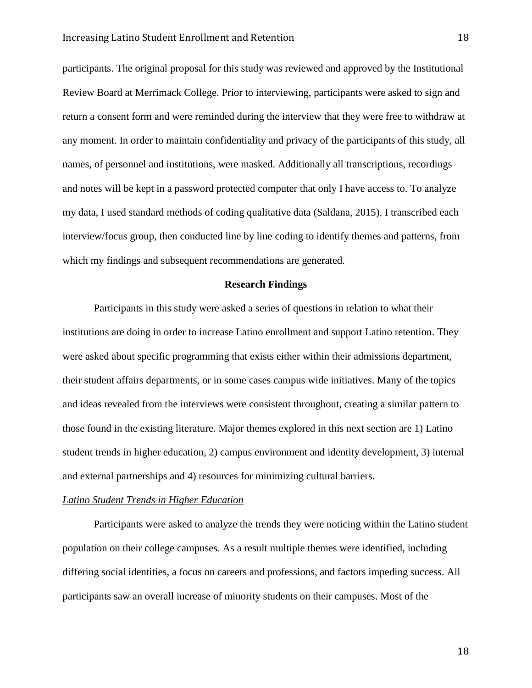participants. The original proposal for this study was reviewed and approved by the Institutional Review Board at Merrimack College. Prior to interviewing, participants were asked to sign and return a consent form and were reminded during the interview that they were free to withdraw at any moment. In order to maintain confidentiality and privacy of the participants of this study, all names, of personnel and institutions, were masked. Additionally all transcriptions, recordings and notes will be kept in a password protected computer that only I have access to. To analyze my data, I used standard methods of coding qualitative data (Saldana, 2015). I transcribed each interview/focus group, then conducted line by line coding to identify themes and patterns, from which my findings and subsequent recommendations are generated.

#### **Research Findings**

Participants in this study were asked a series of questions in relation to what their institutions are doing in order to increase Latino enrollment and support Latino retention. They were asked about specific programming that exists either within their admissions department, their student affairs departments, or in some cases campus wide initiatives. Many of the topics and ideas revealed from the interviews were consistent throughout, creating a similar pattern to those found in the existing literature. Major themes explored in this next section are 1) Latino student trends in higher education, 2) campus environment and identity development, 3) internal and external partnerships and 4) resources for minimizing cultural barriers.

#### *Latino Student Trends in Higher Education*

Participants were asked to analyze the trends they were noticing within the Latino student population on their college campuses. As a result multiple themes were identified, including differing social identities, a focus on careers and professions, and factors impeding success. All participants saw an overall increase of minority students on their campuses. Most of the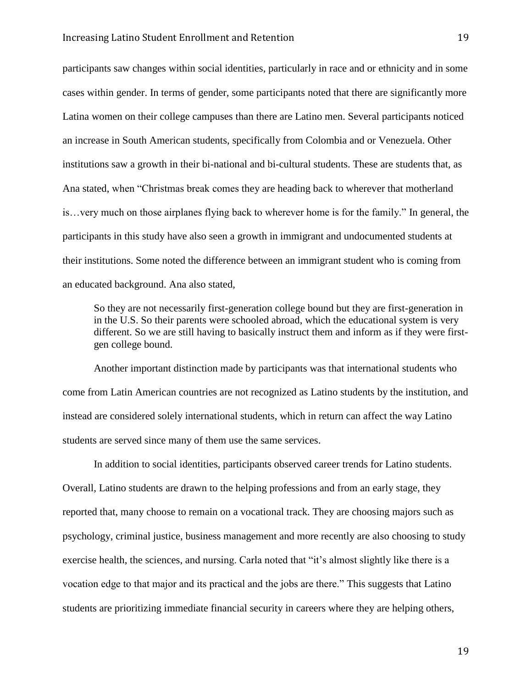participants saw changes within social identities, particularly in race and or ethnicity and in some cases within gender. In terms of gender, some participants noted that there are significantly more Latina women on their college campuses than there are Latino men. Several participants noticed an increase in South American students, specifically from Colombia and or Venezuela. Other institutions saw a growth in their bi-national and bi-cultural students. These are students that, as Ana stated, when "Christmas break comes they are heading back to wherever that motherland is…very much on those airplanes flying back to wherever home is for the family." In general, the participants in this study have also seen a growth in immigrant and undocumented students at their institutions. Some noted the difference between an immigrant student who is coming from an educated background. Ana also stated,

So they are not necessarily first-generation college bound but they are first-generation in in the U.S. So their parents were schooled abroad, which the educational system is very different. So we are still having to basically instruct them and inform as if they were firstgen college bound.

Another important distinction made by participants was that international students who come from Latin American countries are not recognized as Latino students by the institution, and instead are considered solely international students, which in return can affect the way Latino students are served since many of them use the same services.

In addition to social identities, participants observed career trends for Latino students. Overall, Latino students are drawn to the helping professions and from an early stage, they reported that, many choose to remain on a vocational track. They are choosing majors such as psychology, criminal justice, business management and more recently are also choosing to study exercise health, the sciences, and nursing. Carla noted that "it's almost slightly like there is a vocation edge to that major and its practical and the jobs are there." This suggests that Latino students are prioritizing immediate financial security in careers where they are helping others,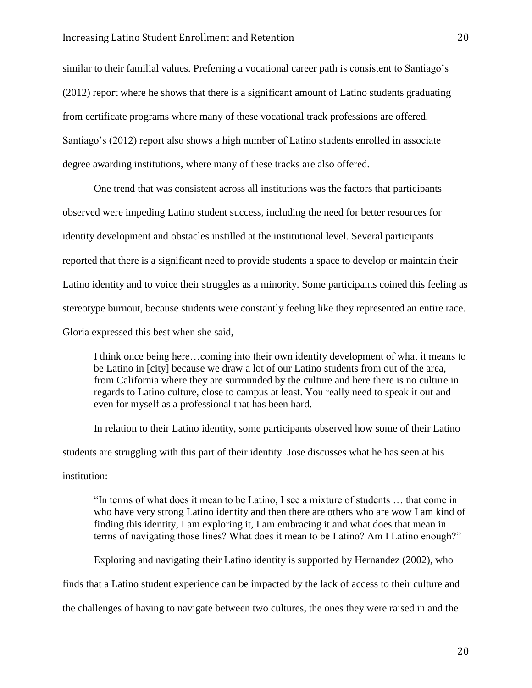similar to their familial values. Preferring a vocational career path is consistent to Santiago's (2012) report where he shows that there is a significant amount of Latino students graduating from certificate programs where many of these vocational track professions are offered. Santiago's (2012) report also shows a high number of Latino students enrolled in associate degree awarding institutions, where many of these tracks are also offered.

One trend that was consistent across all institutions was the factors that participants observed were impeding Latino student success, including the need for better resources for identity development and obstacles instilled at the institutional level. Several participants reported that there is a significant need to provide students a space to develop or maintain their Latino identity and to voice their struggles as a minority. Some participants coined this feeling as stereotype burnout, because students were constantly feeling like they represented an entire race. Gloria expressed this best when she said,

I think once being here…coming into their own identity development of what it means to be Latino in [city] because we draw a lot of our Latino students from out of the area, from California where they are surrounded by the culture and here there is no culture in regards to Latino culture, close to campus at least. You really need to speak it out and even for myself as a professional that has been hard.

In relation to their Latino identity, some participants observed how some of their Latino students are struggling with this part of their identity. Jose discusses what he has seen at his institution:

"In terms of what does it mean to be Latino, I see a mixture of students … that come in who have very strong Latino identity and then there are others who are wow I am kind of finding this identity, I am exploring it, I am embracing it and what does that mean in terms of navigating those lines? What does it mean to be Latino? Am I Latino enough?"

Exploring and navigating their Latino identity is supported by Hernandez (2002), who finds that a Latino student experience can be impacted by the lack of access to their culture and the challenges of having to navigate between two cultures, the ones they were raised in and the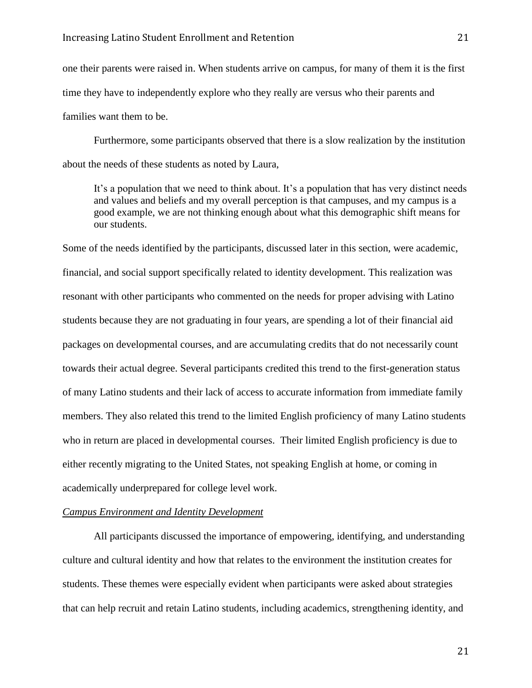one their parents were raised in. When students arrive on campus, for many of them it is the first time they have to independently explore who they really are versus who their parents and families want them to be.

Furthermore, some participants observed that there is a slow realization by the institution about the needs of these students as noted by Laura,

It's a population that we need to think about. It's a population that has very distinct needs and values and beliefs and my overall perception is that campuses, and my campus is a good example, we are not thinking enough about what this demographic shift means for our students.

Some of the needs identified by the participants, discussed later in this section, were academic, financial, and social support specifically related to identity development. This realization was resonant with other participants who commented on the needs for proper advising with Latino students because they are not graduating in four years, are spending a lot of their financial aid packages on developmental courses, and are accumulating credits that do not necessarily count towards their actual degree. Several participants credited this trend to the first-generation status of many Latino students and their lack of access to accurate information from immediate family members. They also related this trend to the limited English proficiency of many Latino students who in return are placed in developmental courses. Their limited English proficiency is due to either recently migrating to the United States, not speaking English at home, or coming in academically underprepared for college level work.

#### *Campus Environment and Identity Development*

All participants discussed the importance of empowering, identifying, and understanding culture and cultural identity and how that relates to the environment the institution creates for students. These themes were especially evident when participants were asked about strategies that can help recruit and retain Latino students, including academics, strengthening identity, and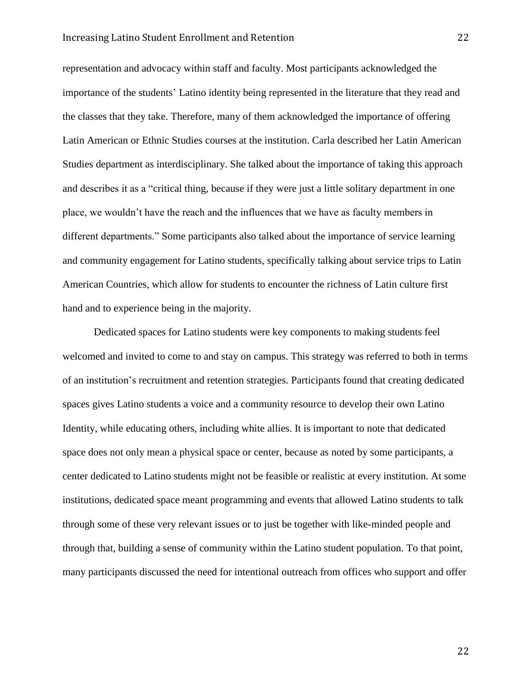#### Increasing Latino Student Enrollment and Retention 22

representation and advocacy within staff and faculty. Most participants acknowledged the importance of the students' Latino identity being represented in the literature that they read and the classes that they take. Therefore, many of them acknowledged the importance of offering Latin American or Ethnic Studies courses at the institution. Carla described her Latin American Studies department as interdisciplinary. She talked about the importance of taking this approach and describes it as a "critical thing, because if they were just a little solitary department in one place, we wouldn't have the reach and the influences that we have as faculty members in different departments." Some participants also talked about the importance of service learning and community engagement for Latino students, specifically talking about service trips to Latin American Countries, which allow for students to encounter the richness of Latin culture first hand and to experience being in the majority.

Dedicated spaces for Latino students were key components to making students feel welcomed and invited to come to and stay on campus. This strategy was referred to both in terms of an institution's recruitment and retention strategies. Participants found that creating dedicated spaces gives Latino students a voice and a community resource to develop their own Latino Identity, while educating others, including white allies. It is important to note that dedicated space does not only mean a physical space or center, because as noted by some participants, a center dedicated to Latino students might not be feasible or realistic at every institution. At some institutions, dedicated space meant programming and events that allowed Latino students to talk through some of these very relevant issues or to just be together with like-minded people and through that, building a sense of community within the Latino student population. To that point, many participants discussed the need for intentional outreach from offices who support and offer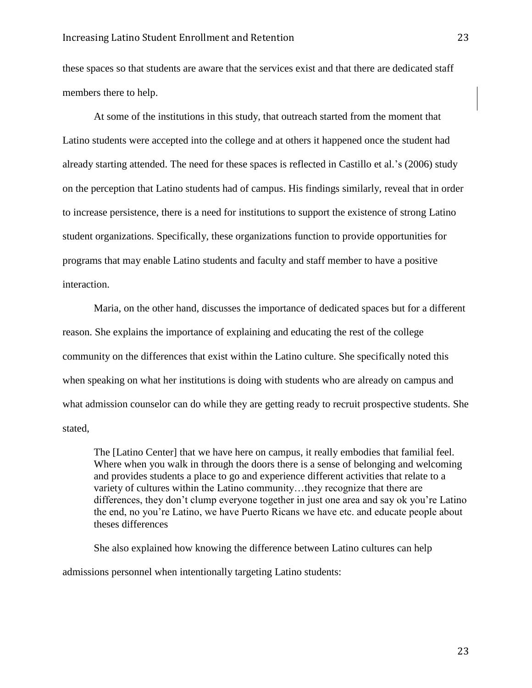these spaces so that students are aware that the services exist and that there are dedicated staff members there to help.

At some of the institutions in this study, that outreach started from the moment that Latino students were accepted into the college and at others it happened once the student had already starting attended. The need for these spaces is reflected in Castillo et al.'s (2006) study on the perception that Latino students had of campus. His findings similarly, reveal that in order to increase persistence, there is a need for institutions to support the existence of strong Latino student organizations. Specifically, these organizations function to provide opportunities for programs that may enable Latino students and faculty and staff member to have a positive interaction.

Maria, on the other hand, discusses the importance of dedicated spaces but for a different reason. She explains the importance of explaining and educating the rest of the college community on the differences that exist within the Latino culture. She specifically noted this when speaking on what her institutions is doing with students who are already on campus and what admission counselor can do while they are getting ready to recruit prospective students. She stated,

The [Latino Center] that we have here on campus, it really embodies that familial feel. Where when you walk in through the doors there is a sense of belonging and welcoming and provides students a place to go and experience different activities that relate to a variety of cultures within the Latino community…they recognize that there are differences, they don't clump everyone together in just one area and say ok you're Latino the end, no you're Latino, we have Puerto Ricans we have etc. and educate people about theses differences

She also explained how knowing the difference between Latino cultures can help admissions personnel when intentionally targeting Latino students: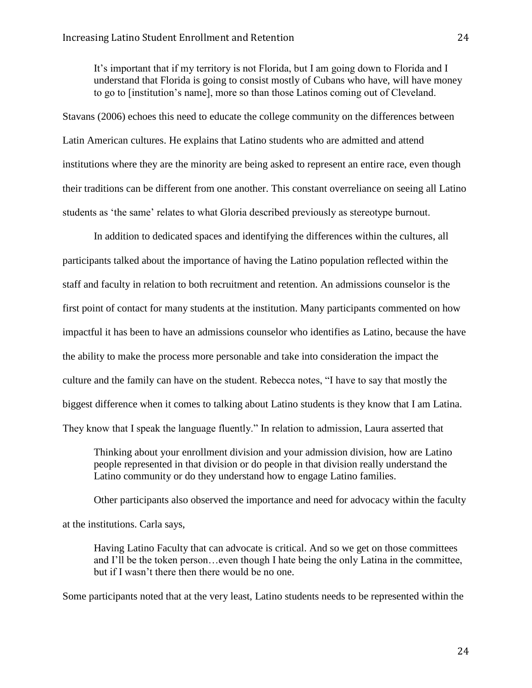It's important that if my territory is not Florida, but I am going down to Florida and I understand that Florida is going to consist mostly of Cubans who have, will have money to go to [institution's name], more so than those Latinos coming out of Cleveland.

Stavans (2006) echoes this need to educate the college community on the differences between Latin American cultures. He explains that Latino students who are admitted and attend institutions where they are the minority are being asked to represent an entire race, even though their traditions can be different from one another. This constant overreliance on seeing all Latino students as 'the same' relates to what Gloria described previously as stereotype burnout.

In addition to dedicated spaces and identifying the differences within the cultures, all participants talked about the importance of having the Latino population reflected within the staff and faculty in relation to both recruitment and retention. An admissions counselor is the first point of contact for many students at the institution. Many participants commented on how impactful it has been to have an admissions counselor who identifies as Latino, because the have the ability to make the process more personable and take into consideration the impact the culture and the family can have on the student. Rebecca notes, "I have to say that mostly the biggest difference when it comes to talking about Latino students is they know that I am Latina. They know that I speak the language fluently." In relation to admission, Laura asserted that

Thinking about your enrollment division and your admission division, how are Latino people represented in that division or do people in that division really understand the Latino community or do they understand how to engage Latino families.

Other participants also observed the importance and need for advocacy within the faculty at the institutions. Carla says,

Having Latino Faculty that can advocate is critical. And so we get on those committees and I'll be the token person…even though I hate being the only Latina in the committee, but if I wasn't there then there would be no one.

Some participants noted that at the very least, Latino students needs to be represented within the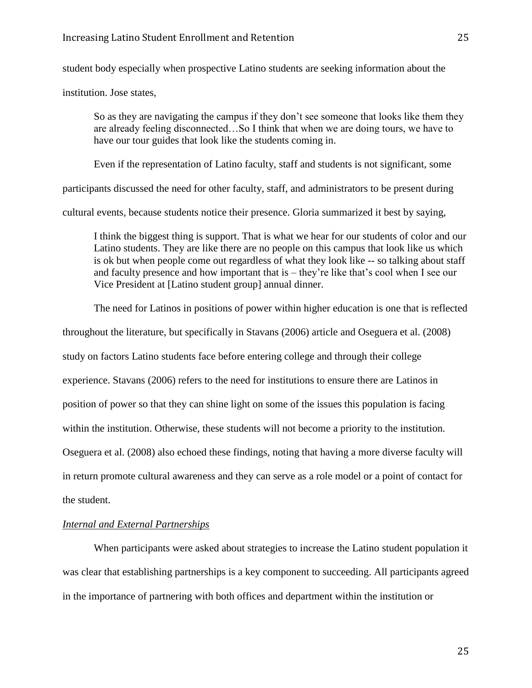student body especially when prospective Latino students are seeking information about the

institution. Jose states,

So as they are navigating the campus if they don't see someone that looks like them they are already feeling disconnected…So I think that when we are doing tours, we have to have our tour guides that look like the students coming in.

Even if the representation of Latino faculty, staff and students is not significant, some

participants discussed the need for other faculty, staff, and administrators to be present during

cultural events, because students notice their presence. Gloria summarized it best by saying,

I think the biggest thing is support. That is what we hear for our students of color and our Latino students. They are like there are no people on this campus that look like us which is ok but when people come out regardless of what they look like -- so talking about staff and faculty presence and how important that is – they're like that's cool when I see our Vice President at [Latino student group] annual dinner.

The need for Latinos in positions of power within higher education is one that is reflected

throughout the literature, but specifically in Stavans (2006) article and Oseguera et al. (2008) study on factors Latino students face before entering college and through their college experience. Stavans (2006) refers to the need for institutions to ensure there are Latinos in position of power so that they can shine light on some of the issues this population is facing within the institution. Otherwise, these students will not become a priority to the institution. Oseguera et al. (2008) also echoed these findings, noting that having a more diverse faculty will in return promote cultural awareness and they can serve as a role model or a point of contact for the student.

#### *Internal and External Partnerships*

When participants were asked about strategies to increase the Latino student population it was clear that establishing partnerships is a key component to succeeding. All participants agreed in the importance of partnering with both offices and department within the institution or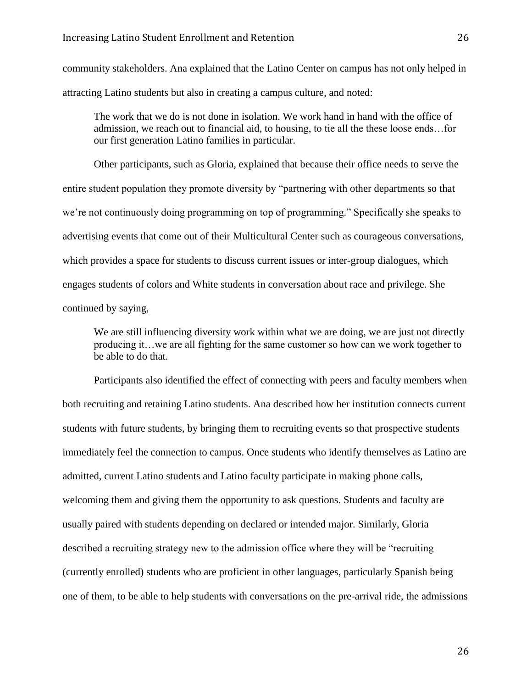community stakeholders. Ana explained that the Latino Center on campus has not only helped in attracting Latino students but also in creating a campus culture, and noted:

The work that we do is not done in isolation. We work hand in hand with the office of admission, we reach out to financial aid, to housing, to tie all the these loose ends…for our first generation Latino families in particular.

Other participants, such as Gloria, explained that because their office needs to serve the entire student population they promote diversity by "partnering with other departments so that we're not continuously doing programming on top of programming." Specifically she speaks to advertising events that come out of their Multicultural Center such as courageous conversations, which provides a space for students to discuss current issues or inter-group dialogues, which engages students of colors and White students in conversation about race and privilege. She continued by saying,

We are still influencing diversity work within what we are doing, we are just not directly producing it…we are all fighting for the same customer so how can we work together to be able to do that.

Participants also identified the effect of connecting with peers and faculty members when both recruiting and retaining Latino students. Ana described how her institution connects current students with future students, by bringing them to recruiting events so that prospective students immediately feel the connection to campus. Once students who identify themselves as Latino are admitted, current Latino students and Latino faculty participate in making phone calls, welcoming them and giving them the opportunity to ask questions. Students and faculty are usually paired with students depending on declared or intended major. Similarly, Gloria described a recruiting strategy new to the admission office where they will be "recruiting (currently enrolled) students who are proficient in other languages, particularly Spanish being one of them, to be able to help students with conversations on the pre-arrival ride, the admissions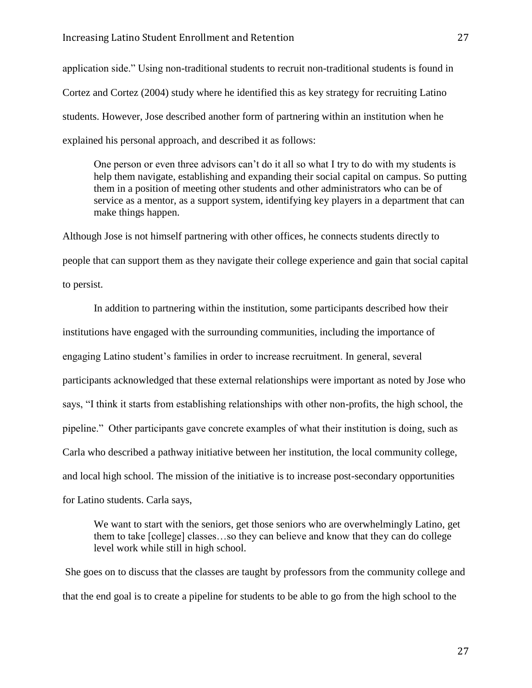application side." Using non-traditional students to recruit non-traditional students is found in Cortez and Cortez (2004) study where he identified this as key strategy for recruiting Latino students. However, Jose described another form of partnering within an institution when he explained his personal approach, and described it as follows:

One person or even three advisors can't do it all so what I try to do with my students is help them navigate, establishing and expanding their social capital on campus. So putting them in a position of meeting other students and other administrators who can be of service as a mentor, as a support system, identifying key players in a department that can make things happen.

Although Jose is not himself partnering with other offices, he connects students directly to people that can support them as they navigate their college experience and gain that social capital to persist.

In addition to partnering within the institution, some participants described how their institutions have engaged with the surrounding communities, including the importance of engaging Latino student's families in order to increase recruitment. In general, several participants acknowledged that these external relationships were important as noted by Jose who says, "I think it starts from establishing relationships with other non-profits, the high school, the pipeline." Other participants gave concrete examples of what their institution is doing, such as Carla who described a pathway initiative between her institution, the local community college, and local high school. The mission of the initiative is to increase post-secondary opportunities for Latino students. Carla says,

We want to start with the seniors, get those seniors who are overwhelmingly Latino, get them to take [college] classes…so they can believe and know that they can do college level work while still in high school.

She goes on to discuss that the classes are taught by professors from the community college and that the end goal is to create a pipeline for students to be able to go from the high school to the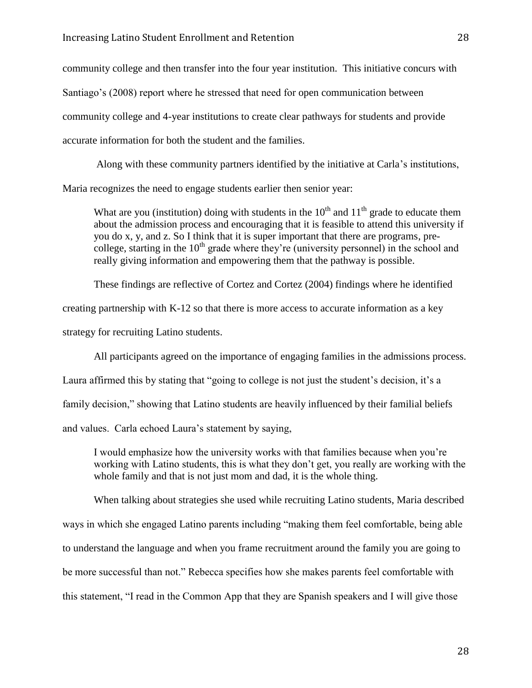community college and then transfer into the four year institution. This initiative concurs with Santiago's (2008) report where he stressed that need for open communication between community college and 4-year institutions to create clear pathways for students and provide accurate information for both the student and the families.

Along with these community partners identified by the initiative at Carla's institutions, Maria recognizes the need to engage students earlier then senior year:

What are you (institution) doing with students in the  $10<sup>th</sup>$  and  $11<sup>th</sup>$  grade to educate them about the admission process and encouraging that it is feasible to attend this university if you do x, y, and z. So I think that it is super important that there are programs, precollege, starting in the  $10<sup>th</sup>$  grade where they're (university personnel) in the school and really giving information and empowering them that the pathway is possible.

These findings are reflective of Cortez and Cortez (2004) findings where he identified

creating partnership with K-12 so that there is more access to accurate information as a key

strategy for recruiting Latino students.

All participants agreed on the importance of engaging families in the admissions process.

Laura affirmed this by stating that "going to college is not just the student's decision, it's a

family decision," showing that Latino students are heavily influenced by their familial beliefs

and values. Carla echoed Laura's statement by saying,

I would emphasize how the university works with that families because when you're working with Latino students, this is what they don't get, you really are working with the whole family and that is not just mom and dad, it is the whole thing.

When talking about strategies she used while recruiting Latino students, Maria described ways in which she engaged Latino parents including "making them feel comfortable, being able to understand the language and when you frame recruitment around the family you are going to be more successful than not." Rebecca specifies how she makes parents feel comfortable with this statement, "I read in the Common App that they are Spanish speakers and I will give those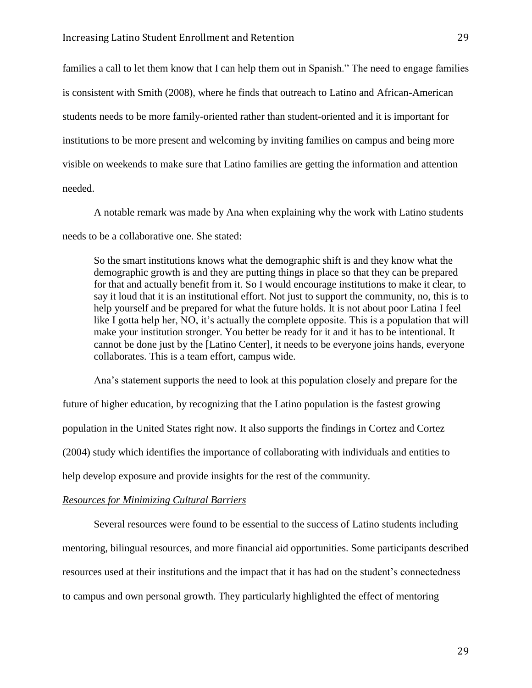families a call to let them know that I can help them out in Spanish." The need to engage families is consistent with Smith (2008), where he finds that outreach to Latino and African-American students needs to be more family-oriented rather than student-oriented and it is important for institutions to be more present and welcoming by inviting families on campus and being more visible on weekends to make sure that Latino families are getting the information and attention needed.

A notable remark was made by Ana when explaining why the work with Latino students needs to be a collaborative one. She stated:

So the smart institutions knows what the demographic shift is and they know what the demographic growth is and they are putting things in place so that they can be prepared for that and actually benefit from it. So I would encourage institutions to make it clear, to say it loud that it is an institutional effort. Not just to support the community, no, this is to help yourself and be prepared for what the future holds. It is not about poor Latina I feel like I gotta help her, NO, it's actually the complete opposite. This is a population that will make your institution stronger. You better be ready for it and it has to be intentional. It cannot be done just by the [Latino Center], it needs to be everyone joins hands, everyone collaborates. This is a team effort, campus wide.

Ana's statement supports the need to look at this population closely and prepare for the future of higher education, by recognizing that the Latino population is the fastest growing population in the United States right now. It also supports the findings in Cortez and Cortez (2004) study which identifies the importance of collaborating with individuals and entities to help develop exposure and provide insights for the rest of the community.

#### *Resources for Minimizing Cultural Barriers*

Several resources were found to be essential to the success of Latino students including mentoring, bilingual resources, and more financial aid opportunities. Some participants described resources used at their institutions and the impact that it has had on the student's connectedness to campus and own personal growth. They particularly highlighted the effect of mentoring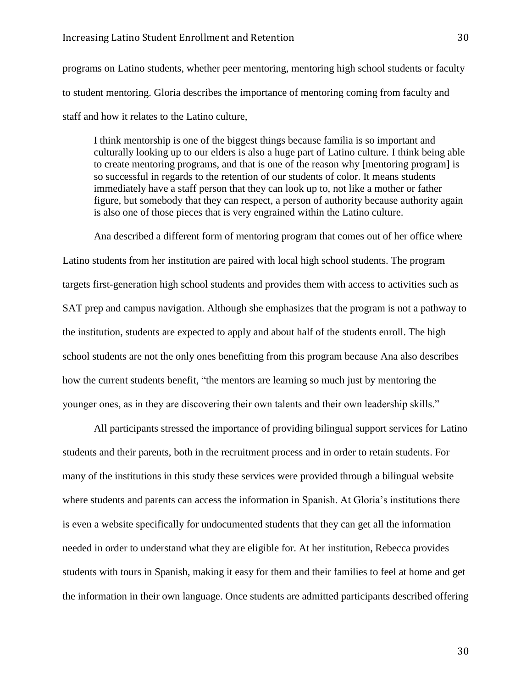programs on Latino students, whether peer mentoring, mentoring high school students or faculty to student mentoring. Gloria describes the importance of mentoring coming from faculty and staff and how it relates to the Latino culture,

I think mentorship is one of the biggest things because familia is so important and culturally looking up to our elders is also a huge part of Latino culture. I think being able to create mentoring programs, and that is one of the reason why [mentoring program] is so successful in regards to the retention of our students of color. It means students immediately have a staff person that they can look up to, not like a mother or father figure, but somebody that they can respect, a person of authority because authority again is also one of those pieces that is very engrained within the Latino culture.

Ana described a different form of mentoring program that comes out of her office where Latino students from her institution are paired with local high school students. The program targets first-generation high school students and provides them with access to activities such as SAT prep and campus navigation. Although she emphasizes that the program is not a pathway to the institution, students are expected to apply and about half of the students enroll. The high school students are not the only ones benefitting from this program because Ana also describes how the current students benefit, "the mentors are learning so much just by mentoring the younger ones, as in they are discovering their own talents and their own leadership skills."

All participants stressed the importance of providing bilingual support services for Latino students and their parents, both in the recruitment process and in order to retain students. For many of the institutions in this study these services were provided through a bilingual website where students and parents can access the information in Spanish. At Gloria's institutions there is even a website specifically for undocumented students that they can get all the information needed in order to understand what they are eligible for. At her institution, Rebecca provides students with tours in Spanish, making it easy for them and their families to feel at home and get the information in their own language. Once students are admitted participants described offering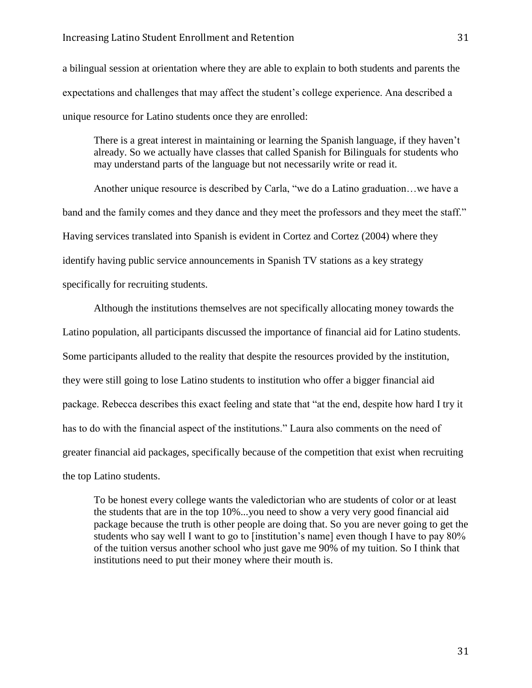a bilingual session at orientation where they are able to explain to both students and parents the expectations and challenges that may affect the student's college experience. Ana described a unique resource for Latino students once they are enrolled:

There is a great interest in maintaining or learning the Spanish language, if they haven't already. So we actually have classes that called Spanish for Bilinguals for students who may understand parts of the language but not necessarily write or read it.

Another unique resource is described by Carla, "we do a Latino graduation…we have a band and the family comes and they dance and they meet the professors and they meet the staff." Having services translated into Spanish is evident in Cortez and Cortez (2004) where they identify having public service announcements in Spanish TV stations as a key strategy specifically for recruiting students.

Although the institutions themselves are not specifically allocating money towards the Latino population, all participants discussed the importance of financial aid for Latino students. Some participants alluded to the reality that despite the resources provided by the institution, they were still going to lose Latino students to institution who offer a bigger financial aid package. Rebecca describes this exact feeling and state that "at the end, despite how hard I try it has to do with the financial aspect of the institutions." Laura also comments on the need of greater financial aid packages, specifically because of the competition that exist when recruiting the top Latino students.

To be honest every college wants the valedictorian who are students of color or at least the students that are in the top 10%...you need to show a very very good financial aid package because the truth is other people are doing that. So you are never going to get the students who say well I want to go to [institution's name] even though I have to pay 80% of the tuition versus another school who just gave me 90% of my tuition. So I think that institutions need to put their money where their mouth is.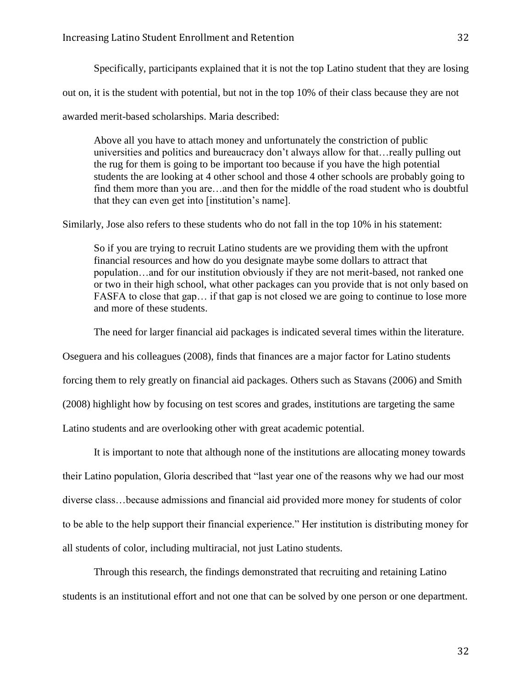Specifically, participants explained that it is not the top Latino student that they are losing

out on, it is the student with potential, but not in the top 10% of their class because they are not

awarded merit-based scholarships. Maria described:

Above all you have to attach money and unfortunately the constriction of public universities and politics and bureaucracy don't always allow for that…really pulling out the rug for them is going to be important too because if you have the high potential students the are looking at 4 other school and those 4 other schools are probably going to find them more than you are…and then for the middle of the road student who is doubtful that they can even get into [institution's name].

Similarly, Jose also refers to these students who do not fall in the top 10% in his statement:

So if you are trying to recruit Latino students are we providing them with the upfront financial resources and how do you designate maybe some dollars to attract that population…and for our institution obviously if they are not merit-based, not ranked one or two in their high school, what other packages can you provide that is not only based on FASFA to close that gap... if that gap is not closed we are going to continue to lose more and more of these students.

The need for larger financial aid packages is indicated several times within the literature.

Oseguera and his colleagues (2008), finds that finances are a major factor for Latino students

forcing them to rely greatly on financial aid packages. Others such as Stavans (2006) and Smith

(2008) highlight how by focusing on test scores and grades, institutions are targeting the same

Latino students and are overlooking other with great academic potential.

It is important to note that although none of the institutions are allocating money towards their Latino population, Gloria described that "last year one of the reasons why we had our most diverse class…because admissions and financial aid provided more money for students of color to be able to the help support their financial experience." Her institution is distributing money for all students of color, including multiracial, not just Latino students.

Through this research, the findings demonstrated that recruiting and retaining Latino students is an institutional effort and not one that can be solved by one person or one department.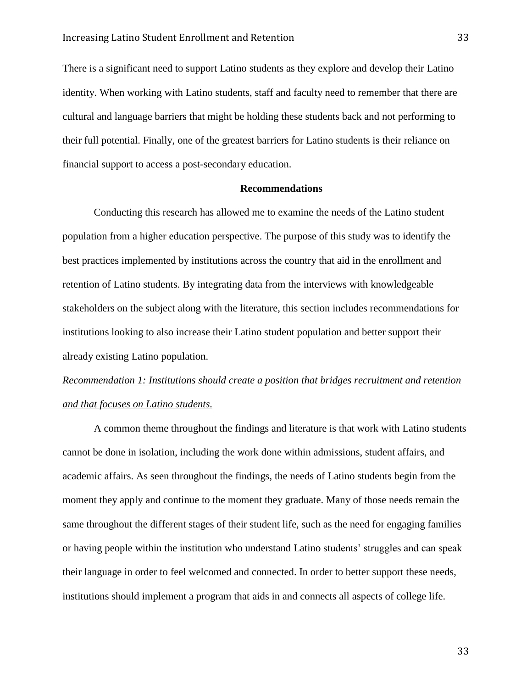There is a significant need to support Latino students as they explore and develop their Latino identity. When working with Latino students, staff and faculty need to remember that there are cultural and language barriers that might be holding these students back and not performing to their full potential. Finally, one of the greatest barriers for Latino students is their reliance on financial support to access a post-secondary education.

#### **Recommendations**

Conducting this research has allowed me to examine the needs of the Latino student population from a higher education perspective. The purpose of this study was to identify the best practices implemented by institutions across the country that aid in the enrollment and retention of Latino students. By integrating data from the interviews with knowledgeable stakeholders on the subject along with the literature, this section includes recommendations for institutions looking to also increase their Latino student population and better support their already existing Latino population.

# *Recommendation 1: Institutions should create a position that bridges recruitment and retention and that focuses on Latino students.*

A common theme throughout the findings and literature is that work with Latino students cannot be done in isolation, including the work done within admissions, student affairs, and academic affairs. As seen throughout the findings, the needs of Latino students begin from the moment they apply and continue to the moment they graduate. Many of those needs remain the same throughout the different stages of their student life, such as the need for engaging families or having people within the institution who understand Latino students' struggles and can speak their language in order to feel welcomed and connected. In order to better support these needs, institutions should implement a program that aids in and connects all aspects of college life.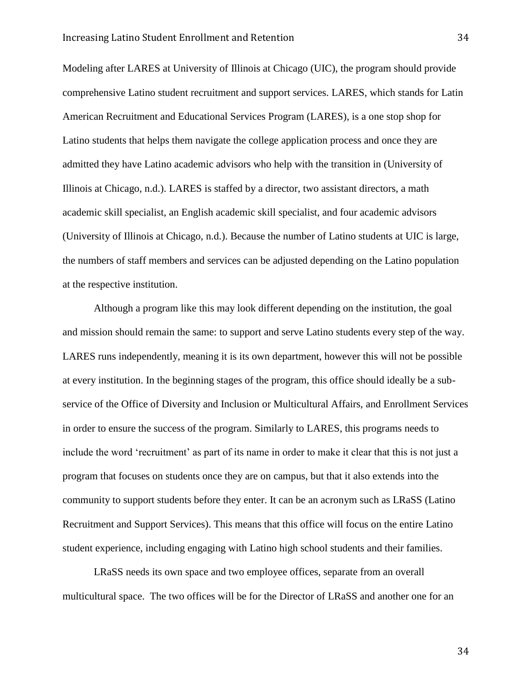Modeling after LARES at University of Illinois at Chicago (UIC), the program should provide comprehensive Latino student recruitment and support services. LARES, which stands for Latin American Recruitment and Educational Services Program (LARES), is a one stop shop for Latino students that helps them navigate the college application process and once they are admitted they have Latino academic advisors who help with the transition in (University of Illinois at Chicago, n.d.). LARES is staffed by a director, two assistant directors, a math academic skill specialist, an English academic skill specialist, and four academic advisors (University of Illinois at Chicago, n.d.). Because the number of Latino students at UIC is large, the numbers of staff members and services can be adjusted depending on the Latino population at the respective institution.

Although a program like this may look different depending on the institution, the goal and mission should remain the same: to support and serve Latino students every step of the way. LARES runs independently, meaning it is its own department, however this will not be possible at every institution. In the beginning stages of the program, this office should ideally be a subservice of the Office of Diversity and Inclusion or Multicultural Affairs, and Enrollment Services in order to ensure the success of the program. Similarly to LARES, this programs needs to include the word 'recruitment' as part of its name in order to make it clear that this is not just a program that focuses on students once they are on campus, but that it also extends into the community to support students before they enter. It can be an acronym such as LRaSS (Latino Recruitment and Support Services). This means that this office will focus on the entire Latino student experience, including engaging with Latino high school students and their families.

LRaSS needs its own space and two employee offices, separate from an overall multicultural space. The two offices will be for the Director of LRaSS and another one for an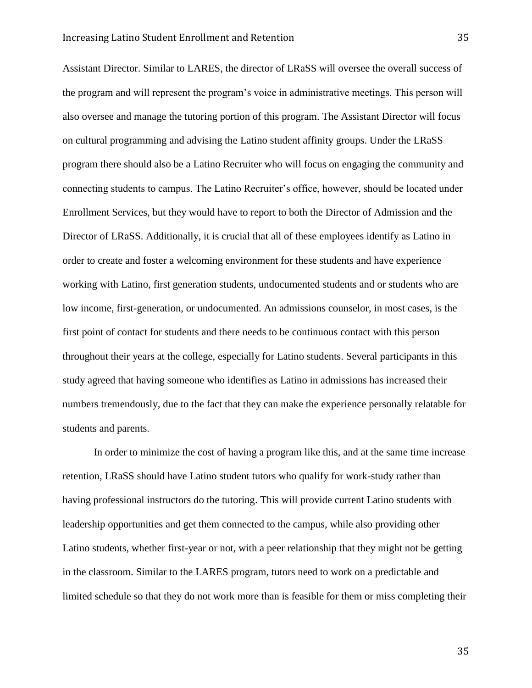Assistant Director. Similar to LARES, the director of LRaSS will oversee the overall success of the program and will represent the program's voice in administrative meetings. This person will also oversee and manage the tutoring portion of this program. The Assistant Director will focus on cultural programming and advising the Latino student affinity groups. Under the LRaSS program there should also be a Latino Recruiter who will focus on engaging the community and connecting students to campus. The Latino Recruiter's office, however, should be located under Enrollment Services, but they would have to report to both the Director of Admission and the Director of LRaSS. Additionally, it is crucial that all of these employees identify as Latino in order to create and foster a welcoming environment for these students and have experience working with Latino, first generation students, undocumented students and or students who are low income, first-generation, or undocumented. An admissions counselor, in most cases, is the first point of contact for students and there needs to be continuous contact with this person throughout their years at the college, especially for Latino students. Several participants in this study agreed that having someone who identifies as Latino in admissions has increased their numbers tremendously, due to the fact that they can make the experience personally relatable for students and parents.

In order to minimize the cost of having a program like this, and at the same time increase retention, LRaSS should have Latino student tutors who qualify for work-study rather than having professional instructors do the tutoring. This will provide current Latino students with leadership opportunities and get them connected to the campus, while also providing other Latino students, whether first-year or not, with a peer relationship that they might not be getting in the classroom. Similar to the LARES program, tutors need to work on a predictable and limited schedule so that they do not work more than is feasible for them or miss completing their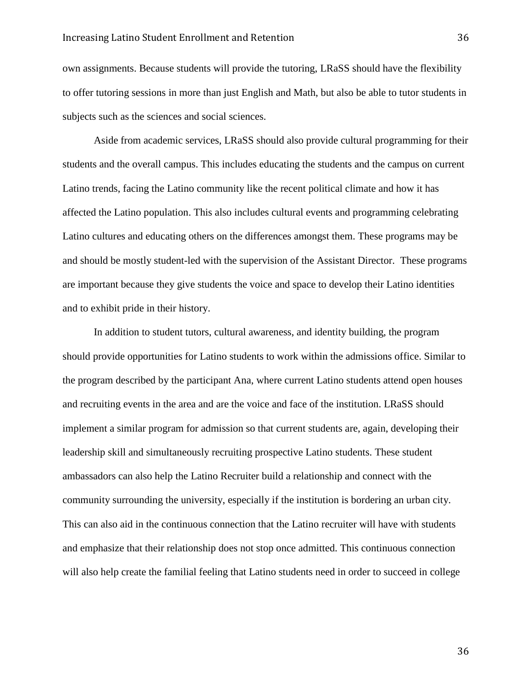#### Increasing Latino Student Enrollment and Retention 36

own assignments. Because students will provide the tutoring, LRaSS should have the flexibility to offer tutoring sessions in more than just English and Math, but also be able to tutor students in subjects such as the sciences and social sciences.

Aside from academic services, LRaSS should also provide cultural programming for their students and the overall campus. This includes educating the students and the campus on current Latino trends, facing the Latino community like the recent political climate and how it has affected the Latino population. This also includes cultural events and programming celebrating Latino cultures and educating others on the differences amongst them. These programs may be and should be mostly student-led with the supervision of the Assistant Director. These programs are important because they give students the voice and space to develop their Latino identities and to exhibit pride in their history.

In addition to student tutors, cultural awareness, and identity building, the program should provide opportunities for Latino students to work within the admissions office. Similar to the program described by the participant Ana, where current Latino students attend open houses and recruiting events in the area and are the voice and face of the institution. LRaSS should implement a similar program for admission so that current students are, again, developing their leadership skill and simultaneously recruiting prospective Latino students. These student ambassadors can also help the Latino Recruiter build a relationship and connect with the community surrounding the university, especially if the institution is bordering an urban city. This can also aid in the continuous connection that the Latino recruiter will have with students and emphasize that their relationship does not stop once admitted. This continuous connection will also help create the familial feeling that Latino students need in order to succeed in college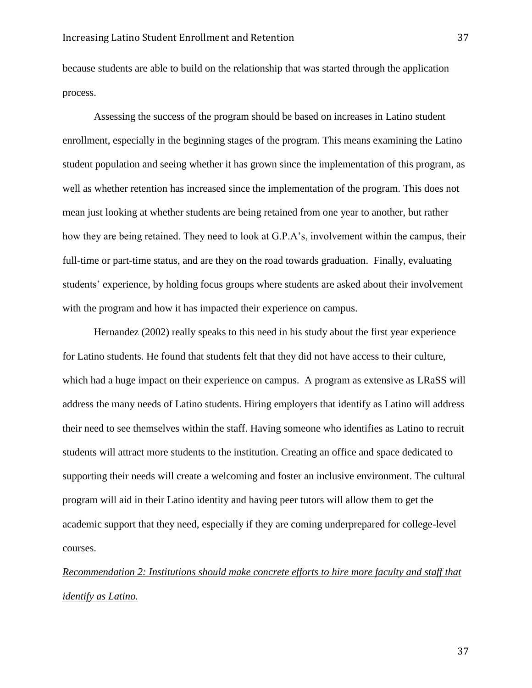because students are able to build on the relationship that was started through the application process.

Assessing the success of the program should be based on increases in Latino student enrollment, especially in the beginning stages of the program. This means examining the Latino student population and seeing whether it has grown since the implementation of this program, as well as whether retention has increased since the implementation of the program. This does not mean just looking at whether students are being retained from one year to another, but rather how they are being retained. They need to look at G.P.A's, involvement within the campus, their full-time or part-time status, and are they on the road towards graduation. Finally, evaluating students' experience, by holding focus groups where students are asked about their involvement with the program and how it has impacted their experience on campus.

Hernandez (2002) really speaks to this need in his study about the first year experience for Latino students. He found that students felt that they did not have access to their culture, which had a huge impact on their experience on campus. A program as extensive as LRaSS will address the many needs of Latino students. Hiring employers that identify as Latino will address their need to see themselves within the staff. Having someone who identifies as Latino to recruit students will attract more students to the institution. Creating an office and space dedicated to supporting their needs will create a welcoming and foster an inclusive environment. The cultural program will aid in their Latino identity and having peer tutors will allow them to get the academic support that they need, especially if they are coming underprepared for college-level courses.

*Recommendation 2: Institutions should make concrete efforts to hire more faculty and staff that identify as Latino.*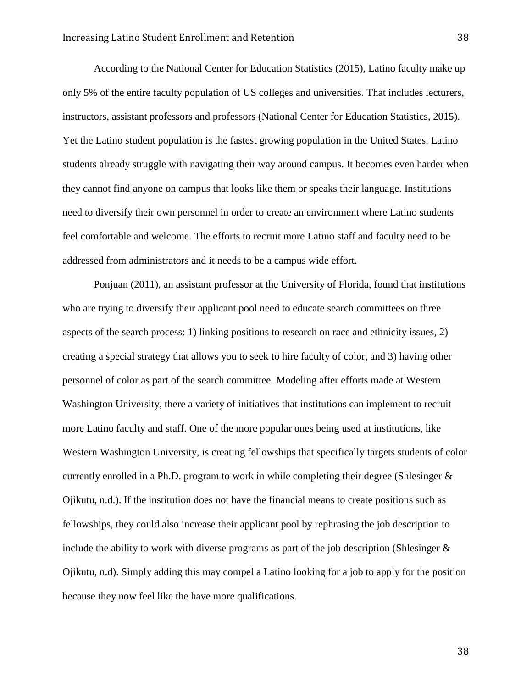According to the National Center for Education Statistics (2015), Latino faculty make up only 5% of the entire faculty population of US colleges and universities. That includes lecturers, instructors, assistant professors and professors (National Center for Education Statistics, 2015). Yet the Latino student population is the fastest growing population in the United States. Latino students already struggle with navigating their way around campus. It becomes even harder when they cannot find anyone on campus that looks like them or speaks their language. Institutions need to diversify their own personnel in order to create an environment where Latino students feel comfortable and welcome. The efforts to recruit more Latino staff and faculty need to be addressed from administrators and it needs to be a campus wide effort.

Ponjuan (2011), an assistant professor at the University of Florida, found that institutions who are trying to diversify their applicant pool need to educate search committees on three aspects of the search process: 1) linking positions to research on race and ethnicity issues, 2) creating a special strategy that allows you to seek to hire faculty of color, and 3) having other personnel of color as part of the search committee. Modeling after efforts made at Western Washington University, there a variety of initiatives that institutions can implement to recruit more Latino faculty and staff. One of the more popular ones being used at institutions, like Western Washington University, is creating fellowships that specifically targets students of color currently enrolled in a Ph.D. program to work in while completing their degree (Shlesinger & Ojikutu, n.d.). If the institution does not have the financial means to create positions such as fellowships, they could also increase their applicant pool by rephrasing the job description to include the ability to work with diverse programs as part of the job description (Shlesinger  $\&$ Ojikutu, n.d). Simply adding this may compel a Latino looking for a job to apply for the position because they now feel like the have more qualifications.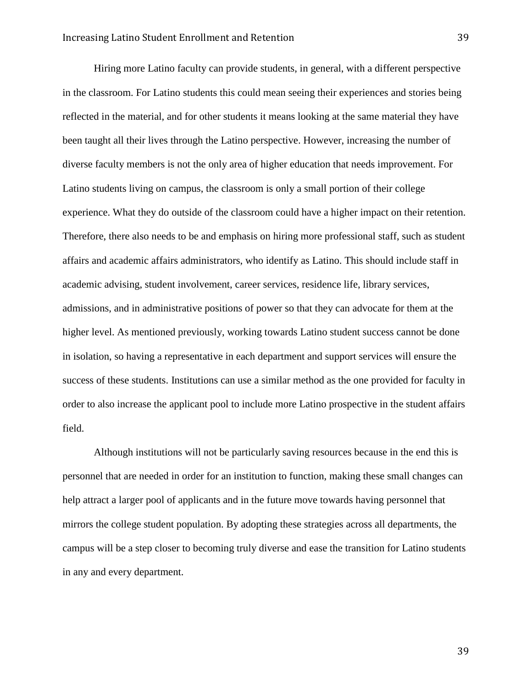Hiring more Latino faculty can provide students, in general, with a different perspective in the classroom. For Latino students this could mean seeing their experiences and stories being reflected in the material, and for other students it means looking at the same material they have been taught all their lives through the Latino perspective. However, increasing the number of diverse faculty members is not the only area of higher education that needs improvement. For Latino students living on campus, the classroom is only a small portion of their college experience. What they do outside of the classroom could have a higher impact on their retention. Therefore, there also needs to be and emphasis on hiring more professional staff, such as student affairs and academic affairs administrators, who identify as Latino. This should include staff in academic advising, student involvement, career services, residence life, library services, admissions, and in administrative positions of power so that they can advocate for them at the higher level. As mentioned previously, working towards Latino student success cannot be done in isolation, so having a representative in each department and support services will ensure the success of these students. Institutions can use a similar method as the one provided for faculty in order to also increase the applicant pool to include more Latino prospective in the student affairs field.

Although institutions will not be particularly saving resources because in the end this is personnel that are needed in order for an institution to function, making these small changes can help attract a larger pool of applicants and in the future move towards having personnel that mirrors the college student population. By adopting these strategies across all departments, the campus will be a step closer to becoming truly diverse and ease the transition for Latino students in any and every department.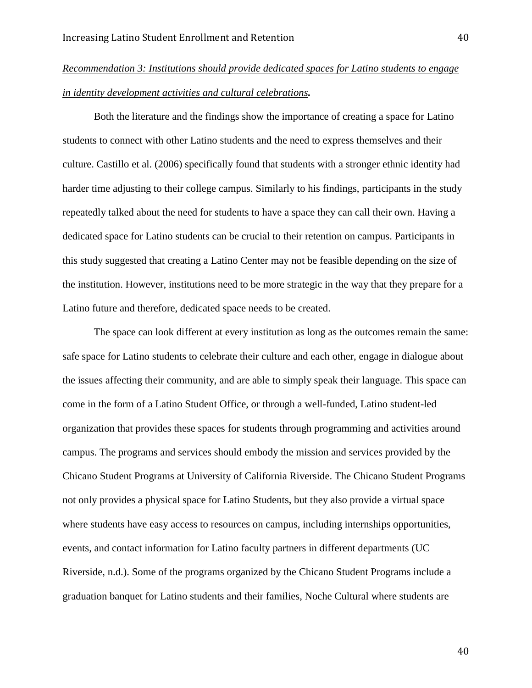# *Recommendation 3: Institutions should provide dedicated spaces for Latino students to engage in identity development activities and cultural celebrations.*

Both the literature and the findings show the importance of creating a space for Latino students to connect with other Latino students and the need to express themselves and their culture. Castillo et al. (2006) specifically found that students with a stronger ethnic identity had harder time adjusting to their college campus. Similarly to his findings, participants in the study repeatedly talked about the need for students to have a space they can call their own. Having a dedicated space for Latino students can be crucial to their retention on campus. Participants in this study suggested that creating a Latino Center may not be feasible depending on the size of the institution. However, institutions need to be more strategic in the way that they prepare for a Latino future and therefore, dedicated space needs to be created.

The space can look different at every institution as long as the outcomes remain the same: safe space for Latino students to celebrate their culture and each other, engage in dialogue about the issues affecting their community, and are able to simply speak their language. This space can come in the form of a Latino Student Office, or through a well-funded, Latino student-led organization that provides these spaces for students through programming and activities around campus. The programs and services should embody the mission and services provided by the Chicano Student Programs at University of California Riverside. The Chicano Student Programs not only provides a physical space for Latino Students, but they also provide a virtual space where students have easy access to resources on campus, including internships opportunities, events, and contact information for Latino faculty partners in different departments (UC Riverside, n.d.). Some of the programs organized by the Chicano Student Programs include a graduation banquet for Latino students and their families, Noche Cultural where students are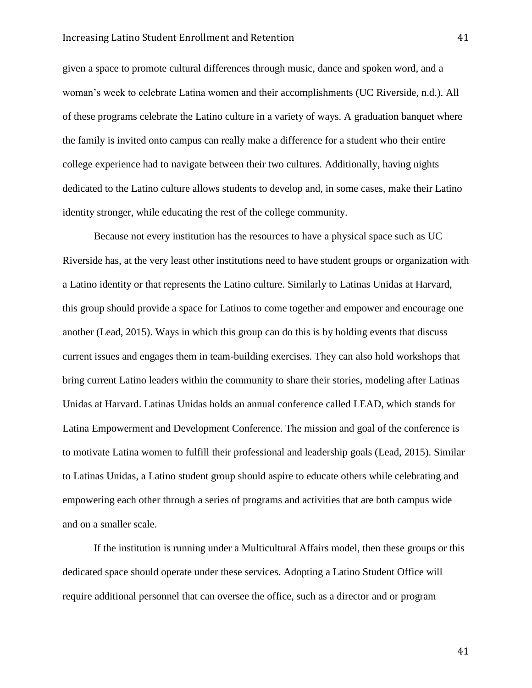#### Increasing Latino Student Enrollment and Retention 41

given a space to promote cultural differences through music, dance and spoken word, and a woman's week to celebrate Latina women and their accomplishments (UC Riverside, n.d.). All of these programs celebrate the Latino culture in a variety of ways. A graduation banquet where the family is invited onto campus can really make a difference for a student who their entire college experience had to navigate between their two cultures. Additionally, having nights dedicated to the Latino culture allows students to develop and, in some cases, make their Latino identity stronger, while educating the rest of the college community.

Because not every institution has the resources to have a physical space such as UC Riverside has, at the very least other institutions need to have student groups or organization with a Latino identity or that represents the Latino culture. Similarly to Latinas Unidas at Harvard, this group should provide a space for Latinos to come together and empower and encourage one another (Lead, 2015). Ways in which this group can do this is by holding events that discuss current issues and engages them in team-building exercises. They can also hold workshops that bring current Latino leaders within the community to share their stories, modeling after Latinas Unidas at Harvard. Latinas Unidas holds an annual conference called LEAD, which stands for Latina Empowerment and Development Conference. The mission and goal of the conference is to motivate Latina women to fulfill their professional and leadership goals (Lead, 2015). Similar to Latinas Unidas, a Latino student group should aspire to educate others while celebrating and empowering each other through a series of programs and activities that are both campus wide and on a smaller scale.

If the institution is running under a Multicultural Affairs model, then these groups or this dedicated space should operate under these services. Adopting a Latino Student Office will require additional personnel that can oversee the office, such as a director and or program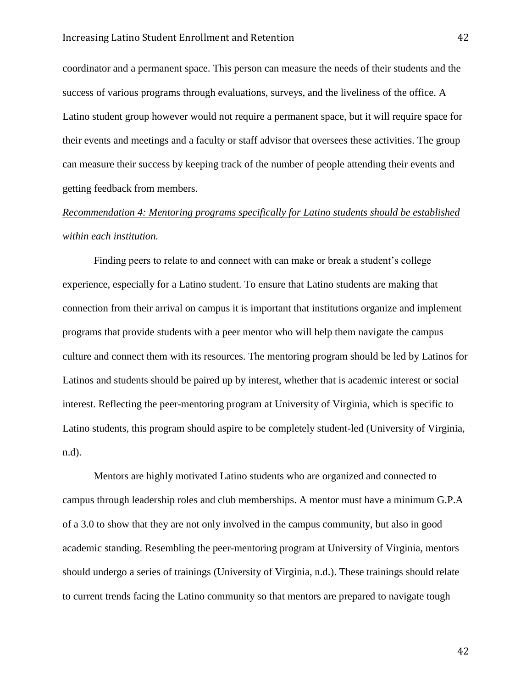coordinator and a permanent space. This person can measure the needs of their students and the success of various programs through evaluations, surveys, and the liveliness of the office. A Latino student group however would not require a permanent space, but it will require space for their events and meetings and a faculty or staff advisor that oversees these activities. The group can measure their success by keeping track of the number of people attending their events and getting feedback from members.

# *Recommendation 4: Mentoring programs specifically for Latino students should be established within each institution.*

Finding peers to relate to and connect with can make or break a student's college experience, especially for a Latino student. To ensure that Latino students are making that connection from their arrival on campus it is important that institutions organize and implement programs that provide students with a peer mentor who will help them navigate the campus culture and connect them with its resources. The mentoring program should be led by Latinos for Latinos and students should be paired up by interest, whether that is academic interest or social interest. Reflecting the peer-mentoring program at University of Virginia, which is specific to Latino students, this program should aspire to be completely student-led (University of Virginia, n.d).

Mentors are highly motivated Latino students who are organized and connected to campus through leadership roles and club memberships. A mentor must have a minimum G.P.A of a 3.0 to show that they are not only involved in the campus community, but also in good academic standing. Resembling the peer-mentoring program at University of Virginia, mentors should undergo a series of trainings (University of Virginia, n.d.). These trainings should relate to current trends facing the Latino community so that mentors are prepared to navigate tough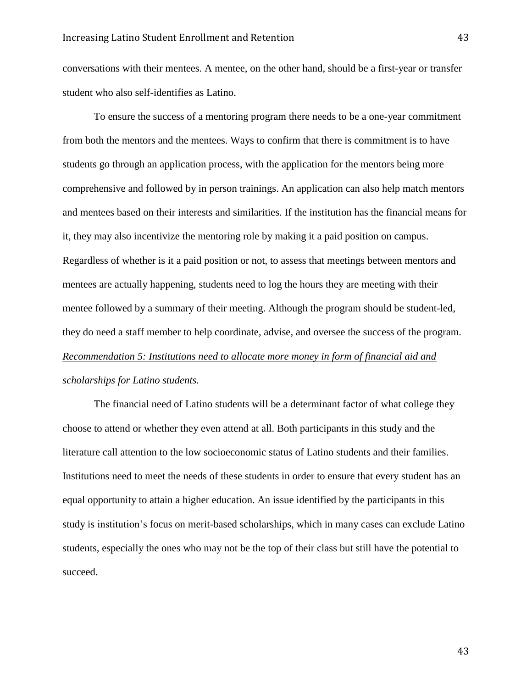conversations with their mentees. A mentee, on the other hand, should be a first-year or transfer student who also self-identifies as Latino.

To ensure the success of a mentoring program there needs to be a one-year commitment from both the mentors and the mentees. Ways to confirm that there is commitment is to have students go through an application process, with the application for the mentors being more comprehensive and followed by in person trainings. An application can also help match mentors and mentees based on their interests and similarities. If the institution has the financial means for it, they may also incentivize the mentoring role by making it a paid position on campus. Regardless of whether is it a paid position or not, to assess that meetings between mentors and mentees are actually happening, students need to log the hours they are meeting with their mentee followed by a summary of their meeting. Although the program should be student-led, they do need a staff member to help coordinate, advise, and oversee the success of the program. *Recommendation 5: Institutions need to allocate more money in form of financial aid and scholarships for Latino students.*

The financial need of Latino students will be a determinant factor of what college they choose to attend or whether they even attend at all. Both participants in this study and the literature call attention to the low socioeconomic status of Latino students and their families. Institutions need to meet the needs of these students in order to ensure that every student has an equal opportunity to attain a higher education. An issue identified by the participants in this study is institution's focus on merit-based scholarships, which in many cases can exclude Latino students, especially the ones who may not be the top of their class but still have the potential to succeed.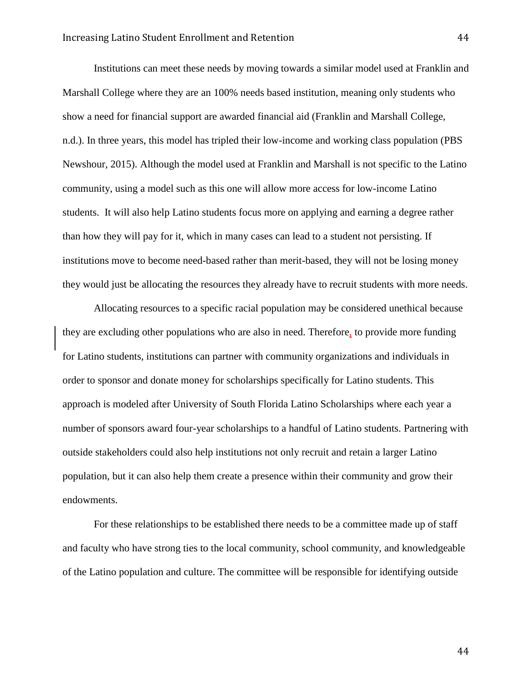Institutions can meet these needs by moving towards a similar model used at Franklin and Marshall College where they are an 100% needs based institution, meaning only students who show a need for financial support are awarded financial aid (Franklin and Marshall College, n.d.). In three years, this model has tripled their low-income and working class population (PBS Newshour, 2015). Although the model used at Franklin and Marshall is not specific to the Latino community, using a model such as this one will allow more access for low-income Latino students. It will also help Latino students focus more on applying and earning a degree rather than how they will pay for it, which in many cases can lead to a student not persisting. If institutions move to become need-based rather than merit-based, they will not be losing money they would just be allocating the resources they already have to recruit students with more needs.

Allocating resources to a specific racial population may be considered unethical because they are excluding other populations who are also in need. Therefore, to provide more funding for Latino students, institutions can partner with community organizations and individuals in order to sponsor and donate money for scholarships specifically for Latino students. This approach is modeled after University of South Florida Latino Scholarships where each year a number of sponsors award four-year scholarships to a handful of Latino students. Partnering with outside stakeholders could also help institutions not only recruit and retain a larger Latino population, but it can also help them create a presence within their community and grow their endowments.

For these relationships to be established there needs to be a committee made up of staff and faculty who have strong ties to the local community, school community, and knowledgeable of the Latino population and culture. The committee will be responsible for identifying outside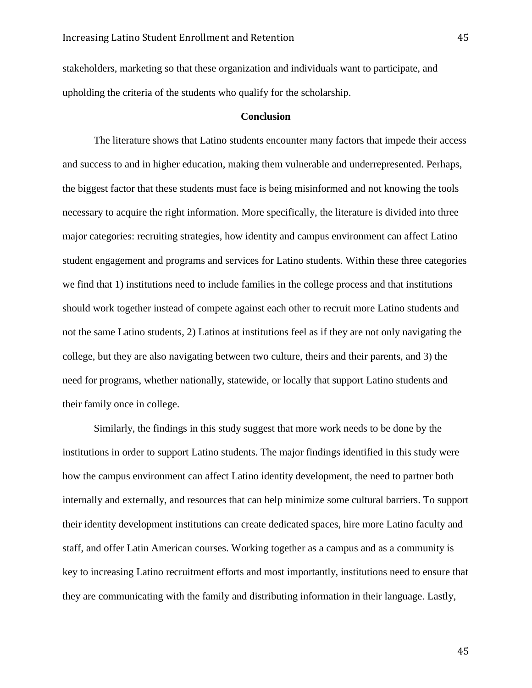stakeholders, marketing so that these organization and individuals want to participate, and upholding the criteria of the students who qualify for the scholarship.

### **Conclusion**

The literature shows that Latino students encounter many factors that impede their access and success to and in higher education, making them vulnerable and underrepresented. Perhaps, the biggest factor that these students must face is being misinformed and not knowing the tools necessary to acquire the right information. More specifically, the literature is divided into three major categories: recruiting strategies, how identity and campus environment can affect Latino student engagement and programs and services for Latino students. Within these three categories we find that 1) institutions need to include families in the college process and that institutions should work together instead of compete against each other to recruit more Latino students and not the same Latino students, 2) Latinos at institutions feel as if they are not only navigating the college, but they are also navigating between two culture, theirs and their parents, and 3) the need for programs, whether nationally, statewide, or locally that support Latino students and their family once in college.

Similarly, the findings in this study suggest that more work needs to be done by the institutions in order to support Latino students. The major findings identified in this study were how the campus environment can affect Latino identity development, the need to partner both internally and externally, and resources that can help minimize some cultural barriers. To support their identity development institutions can create dedicated spaces, hire more Latino faculty and staff, and offer Latin American courses. Working together as a campus and as a community is key to increasing Latino recruitment efforts and most importantly, institutions need to ensure that they are communicating with the family and distributing information in their language. Lastly,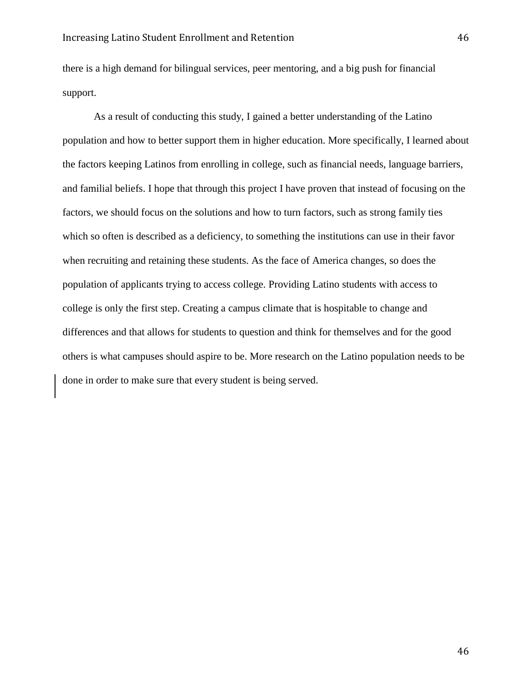there is a high demand for bilingual services, peer mentoring, and a big push for financial support.

As a result of conducting this study, I gained a better understanding of the Latino population and how to better support them in higher education. More specifically, I learned about the factors keeping Latinos from enrolling in college, such as financial needs, language barriers, and familial beliefs. I hope that through this project I have proven that instead of focusing on the factors, we should focus on the solutions and how to turn factors, such as strong family ties which so often is described as a deficiency, to something the institutions can use in their favor when recruiting and retaining these students. As the face of America changes, so does the population of applicants trying to access college. Providing Latino students with access to college is only the first step. Creating a campus climate that is hospitable to change and differences and that allows for students to question and think for themselves and for the good others is what campuses should aspire to be. More research on the Latino population needs to be done in order to make sure that every student is being served.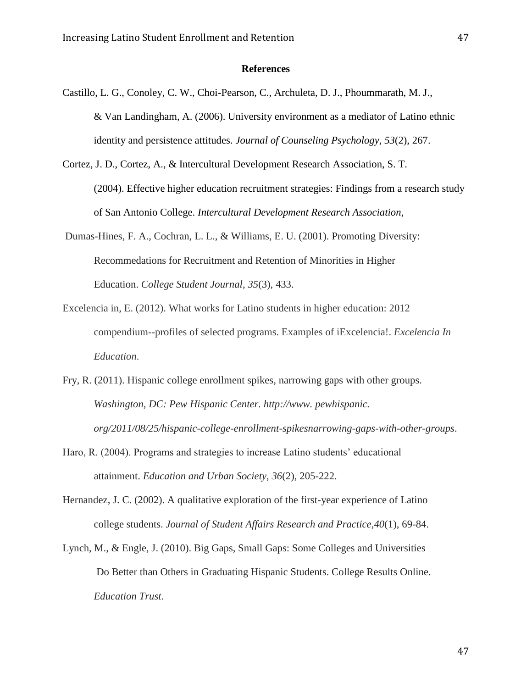#### **References**

- Castillo, L. G., Conoley, C. W., Choi-Pearson, C., Archuleta, D. J., Phoummarath, M. J., & Van Landingham, A. (2006). University environment as a mediator of Latino ethnic identity and persistence attitudes. *Journal of Counseling Psychology*, *53*(2), 267.
- Cortez, J. D., Cortez, A., & Intercultural Development Research Association, S. T. (2004). Effective higher education recruitment strategies: Findings from a research study of San Antonio College. *Intercultural Development Research Association*,
- Dumas-Hines, F. A., Cochran, L. L., & Williams, E. U. (2001). Promoting Diversity: Recommedations for Recruitment and Retention of Minorities in Higher Education. *College Student Journal*, *35*(3), 433.
- Excelencia in, E. (2012). What works for Latino students in higher education: 2012 compendium--profiles of selected programs. Examples of iExcelencia!. *Excelencia In Education*.
- Fry, R. (2011). Hispanic college enrollment spikes, narrowing gaps with other groups. *Washington, DC: Pew Hispanic Center. http://www. pewhispanic. org/2011/08/25/hispanic-college-enrollment-spikesnarrowing-gaps-with-other-groups*.
- Haro, R. (2004). Programs and strategies to increase Latino students' educational attainment. *Education and Urban Society*, *36*(2), 205-222.
- Hernandez, J. C. (2002). A qualitative exploration of the first-year experience of Latino college students. *Journal of Student Affairs Research and Practice*,*40*(1), 69-84.
- Lynch, M., & Engle, J. (2010). Big Gaps, Small Gaps: Some Colleges and Universities Do Better than Others in Graduating Hispanic Students. College Results Online. *Education Trust*.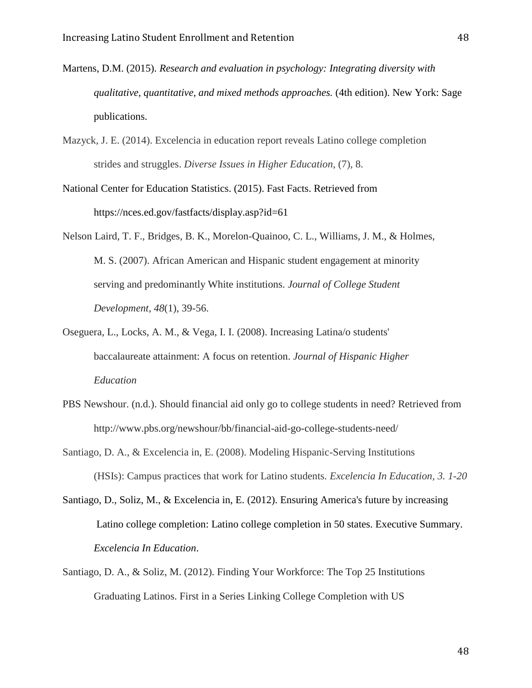- Martens, D.M. (2015). *Research and evaluation in psychology: Integrating diversity with qualitative, quantitative, and mixed methods approaches.* (4th edition). New York: Sage publications.
- Mazyck, J. E. (2014). Excelencia in education report reveals Latino college completion strides and struggles. *Diverse Issues in Higher Education*, (7), 8.
- National Center for Education Statistics. (2015). Fast Facts. Retrieved from https://nces.ed.gov/fastfacts/display.asp?id=61
- Nelson Laird, T. F., Bridges, B. K., Morelon-Quainoo, C. L., Williams, J. M., & Holmes, M. S. (2007). African American and Hispanic student engagement at minority serving and predominantly White institutions. *Journal of College Student Development*, *48*(1), 39-56.
- Oseguera, L., Locks, A. M., & Vega, I. I. (2008). Increasing Latina/o students' baccalaureate attainment: A focus on retention. *Journal of Hispanic Higher Education*
- PBS Newshour. (n.d.). Should financial aid only go to college students in need? Retrieved from http://www.pbs.org/newshour/bb/financial-aid-go-college-students-need/
- Santiago, D. A., & Excelencia in, E. (2008). Modeling Hispanic-Serving Institutions (HSIs): Campus practices that work for Latino students. *Excelencia In Education, 3. 1-20*
- Santiago, D., Soliz, M., & Excelencia in, E. (2012). Ensuring America's future by increasing Latino college completion: Latino college completion in 50 states. Executive Summary. *Excelencia In Education*.
- Santiago, D. A., & Soliz, M. (2012). Finding Your Workforce: The Top 25 Institutions Graduating Latinos. First in a Series Linking College Completion with US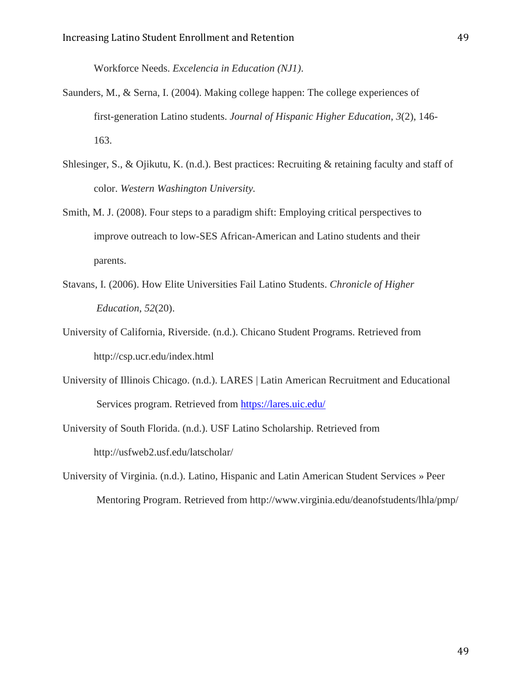Workforce Needs. *Excelencia in Education (NJ1)*.

- Saunders, M., & Serna, I. (2004). Making college happen: The college experiences of first-generation Latino students. *Journal of Hispanic Higher Education*, *3*(2), 146- 163.
- Shlesinger, S., & Ojikutu, K. (n.d.). Best practices: Recruiting & retaining faculty and staff of color. *Western Washington University.*
- Smith, M. J. (2008). Four steps to a paradigm shift: Employing critical perspectives to improve outreach to low-SES African-American and Latino students and their parents.
- Stavans, I. (2006). How Elite Universities Fail Latino Students. *Chronicle of Higher Education*, *52*(20).
- University of California, Riverside. (n.d.). Chicano Student Programs. Retrieved from http://csp.ucr.edu/index.html
- University of Illinois Chicago. (n.d.). LARES | Latin American Recruitment and Educational Services program. Retrieved from<https://lares.uic.edu/>
- University of South Florida. (n.d.). USF Latino Scholarship. Retrieved from http://usfweb2.usf.edu/latscholar/
- University of Virginia. (n.d.). Latino, Hispanic and Latin American Student Services » Peer Mentoring Program. Retrieved from http://www.virginia.edu/deanofstudents/lhla/pmp/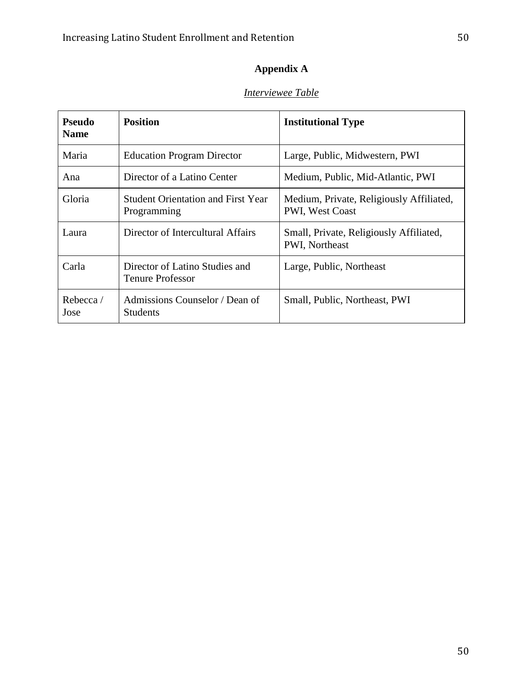# **Appendix A**

## *Interviewee Table*

| <b>Pseudo</b><br><b>Name</b> | <b>Position</b>                                           | <b>Institutional Type</b>                                          |
|------------------------------|-----------------------------------------------------------|--------------------------------------------------------------------|
| Maria                        | <b>Education Program Director</b>                         | Large, Public, Midwestern, PWI                                     |
| Ana                          | Director of a Latino Center                               | Medium, Public, Mid-Atlantic, PWI                                  |
| Gloria                       | <b>Student Orientation and First Year</b><br>Programming  | Medium, Private, Religiously Affiliated,<br><b>PWI, West Coast</b> |
| Laura                        | Director of Intercultural Affairs                         | Small, Private, Religiously Affiliated,<br>PWI, Northeast          |
| Carla                        | Director of Latino Studies and<br><b>Tenure Professor</b> | Large, Public, Northeast                                           |
| Rebecca/<br>Jose             | Admissions Counselor / Dean of<br><b>Students</b>         | Small, Public, Northeast, PWI                                      |